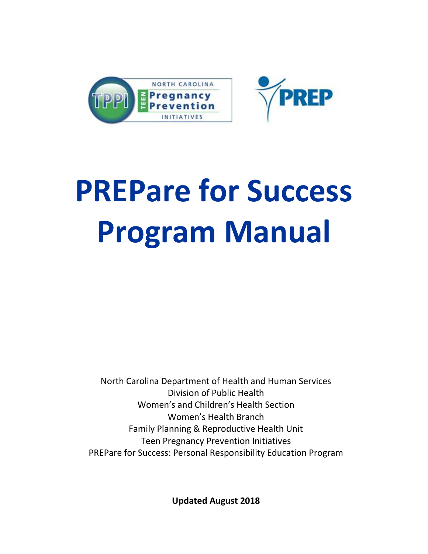



# **PREPare for Success Program Manual**

North Carolina Department of Health and Human Services Division of Public Health Women's and Children's Health Section Women's Health Branch Family Planning & Reproductive Health Unit Teen Pregnancy Prevention Initiatives PREPare for Success: Personal Responsibility Education Program

**Updated August 2018**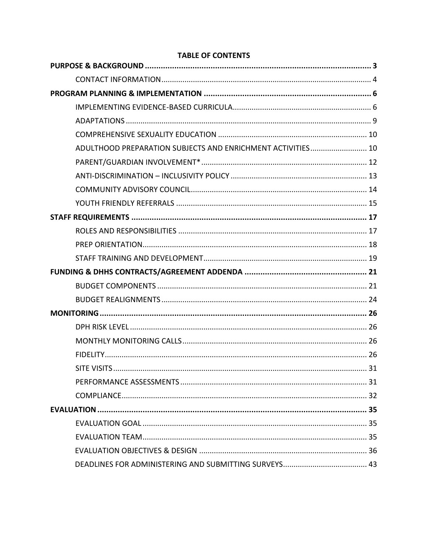| ADULTHOOD PREPARATION SUBJECTS AND ENRICHMENT ACTIVITIES 10 |  |
|-------------------------------------------------------------|--|
|                                                             |  |
|                                                             |  |
|                                                             |  |
|                                                             |  |
|                                                             |  |
|                                                             |  |
|                                                             |  |
|                                                             |  |
|                                                             |  |
|                                                             |  |
|                                                             |  |
|                                                             |  |
|                                                             |  |
|                                                             |  |
|                                                             |  |
|                                                             |  |
|                                                             |  |
|                                                             |  |
|                                                             |  |
|                                                             |  |
|                                                             |  |
|                                                             |  |
|                                                             |  |

# **TABLE OF CONTENTS**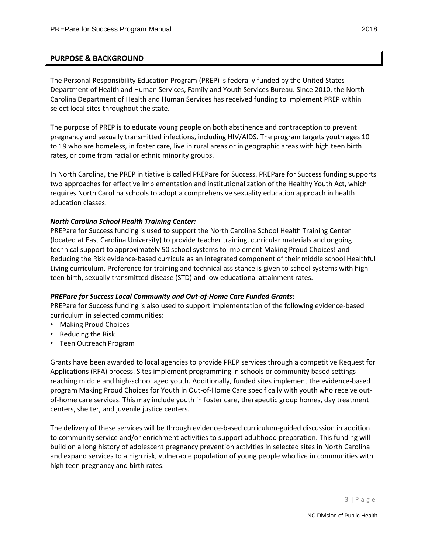<span id="page-2-0"></span>The Personal Responsibility Education Program (PREP) is federally funded by the United States Department of Health and Human Services, Family and Youth Services Bureau. Since 2010, the North Carolina Department of Health and Human Services has received funding to implement PREP within select local sites throughout the state.

The purpose of PREP is to educate young people on both abstinence and contraception to prevent pregnancy and sexually transmitted infections, including HIV/AIDS. The program targets youth ages 10 to 19 who are homeless, in foster care, live in rural areas or in geographic areas with high teen birth rates, or come from racial or ethnic minority groups.

In North Carolina, the PREP initiative is called PREPare for Success. PREPare for Success funding supports two approaches for effective implementation and institutionalization of the [Healthy Youth Act](http://www.ncleg.net/Sessions/2009/Bills/House/PDF/H88v8.pdf), which requires North Carolina schools to adopt a comprehensive sexuality education approach in health education classes.

## *North Carolina School Health Training Center:*

PREPare for Success funding is used to support th[e North Carolina School Health Training Center](http://www.ncshtc.appstate.edu/) (located at East Carolina University) to provide teacher training, curricular materials and ongoing technical support to approximately 50 school systems to implement Making Proud Choices! and Reducing the Risk evidence-based curricula as an integrated component of their middle school Healthful Living curriculum. Preference for training and technical assistance is given to school systems with high teen birth, sexually transmitted disease (STD) and low educational attainment rates.

## *PREPare for Success Local Community and Out-of-Home Care Funded Grants:*

PREPare for Success funding is also used to support implementation of the following evidence-based curriculum in selected communities:

- Making Proud Choices
- Reducing the Risk
- Teen Outreach Program

Grants have been awarded to local agencies to provide PREP services through a competitive Request for Applications (RFA) process. Sites implement programming in schools or community based settings reaching middle and high-school aged youth. Additionally, funded sites implement the evidence-based program Making Proud Choices for Youth in Out-of-Home Care specifically with youth who receive outof-home care services. This may include youth in foster care, therapeutic group homes, day treatment centers, shelter, and juvenile justice centers.

The delivery of these services will be through evidence-based curriculum-guided discussion in addition to community service and/or enrichment activities to support adulthood preparation. This funding will build on a long history of adolescent pregnancy prevention activities in selected sites in North Carolina and expand services to a high risk, vulnerable population of young people who live in communities with high teen pregnancy and birth rates.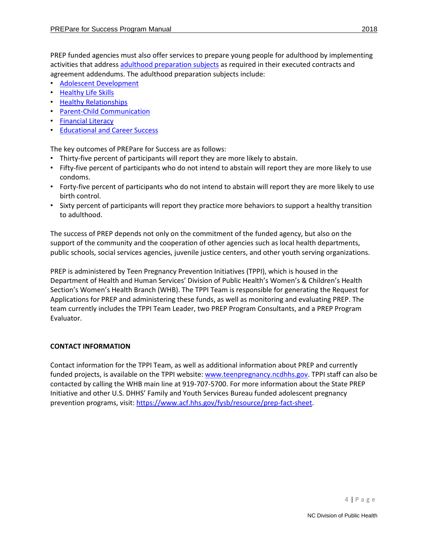PREP funded agencies must also offer services to prepare young people for adulthood by implementing activities that address [adulthood preparation](https://teenpregnancy.acf.hhs.gov/content/focus-adulthood-preparation) subjects as required in their executed contracts and agreement addendums. The adulthood preparation subjects include:

- [Adolescent Development](https://teenpregnancy.acf.hhs.gov/resources/adolescent-development)
- [Healthy Life Skills](https://teenpregnancy.acf.hhs.gov/resources/healthy-life-skills-0)
- [Healthy Relationships](https://teenpregnancy.acf.hhs.gov/resources/healthy-relationships-0)
- [Parent-Child Communication](https://teenpregnancy.acf.hhs.gov/resources/parent-child-communication-0)
- [Financial Literacy](https://teenpregnancy.acf.hhs.gov/resources/financial-literacy-0)
- Educational [and Career Success](https://teenpregnancy.acf.hhs.gov/resources/educational-and-career-success)

The key outcomes of PREPare for Success are as follows:

- Thirty-five percent of participants will report they are more likely to abstain.
- Fifty-five percent of participants who do not intend to abstain will report they are more likely to use condoms.
- Forty-five percent of participants who do not intend to abstain will report they are more likely to use birth control.
- Sixty percent of participants will report they practice more behaviors to support a healthy transition to adulthood.

The success of PREP depends not only on the commitment of the funded agency, but also on the support of the community and the cooperation of other agencies such as local health departments, public schools, social services agencies, juvenile justice centers, and other youth serving organizations.

PREP is administered by Teen Pregnancy Prevention Initiatives (TPPI), which is housed in the Department of Health and Human Services' Division of Public Health's Women's & Children's Health Section's Women's Health Branch (WHB). The TPPI Team is responsible for generating the Request for Applications for PREP and administering these funds, as well as monitoring and evaluating PREP. The team currently includes the TPPI Team Leader, two PREP Program Consultants, and a PREP Program Evaluator.

# <span id="page-3-0"></span>**CONTACT INFORMATION**

Contact information for the TPPI Team, as well as additional information about PREP and currently funded projects, is available on the TPPI website: [www.teenpregnancy.ncdhhs.gov.](http://www.teenpregnancy.ncdhhs.gov/) TPPI staff can also be contacted by calling the WHB main line at 919-707-5700. For more information about the State PREP Initiative and other U.S. DHHS' Family and Youth Services Bureau funded adolescent pregnancy prevention programs, visit: [https://www.acf.hhs.gov/fysb/resource/prep-fact-sheet.](https://www.acf.hhs.gov/fysb/resource/prep-fact-sheet)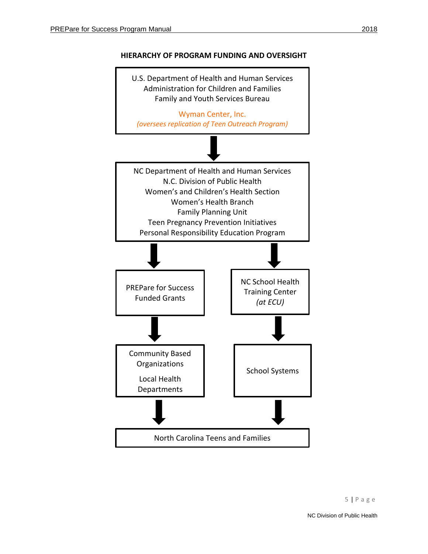

# **HIERARCHY OF PROGRAM FUNDING AND OVERSIGHT**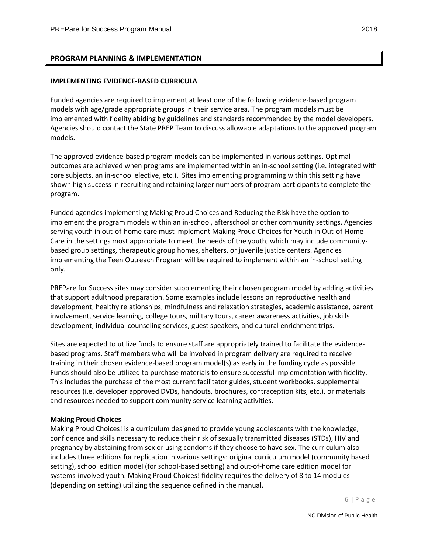# <span id="page-5-0"></span>**PROGRAM PLANNING & IMPLEMENTATION**

## <span id="page-5-1"></span>**IMPLEMENTING EVIDENCE-BASED CURRICULA**

Funded agencies are required to implement at least one of the following evidence-based program models with age/grade appropriate groups in their service area. The program models must be implemented with fidelity abiding by guidelines and standards recommended by the model developers. Agencies should contact the State PREP Team to discuss allowable adaptations to the approved program models.

The approved evidence-based program models can be implemented in various settings. Optimal outcomes are achieved when programs are implemented within an in-school setting (i.e. integrated with core subjects, an in-school elective, etc.). Sites implementing programming within this setting have shown high success in recruiting and retaining larger numbers of program participants to complete the program.

Funded agencies implementing Making Proud Choices and Reducing the Risk have the option to implement the program models within an in-school, afterschool or other community settings. Agencies serving youth in out-of-home care must implement Making Proud Choices for Youth in Out-of-Home Care in the settings most appropriate to meet the needs of the youth; which may include communitybased group settings, therapeutic group homes, shelters, or juvenile justice centers. Agencies implementing the Teen Outreach Program will be required to implement within an in-school setting only.

PREPare for Success sites may consider supplementing their chosen program model by adding activities that support adulthood preparation. Some examples include lessons on reproductive health and development, healthy relationships, mindfulness and relaxation strategies, academic assistance, parent involvement, service learning, college tours, military tours, career awareness activities, job skills development, individual counseling services, guest speakers, and cultural enrichment trips.

Sites are expected to utilize funds to ensure staff are appropriately trained to facilitate the evidencebased programs. Staff members who will be involved in program delivery are required to receive training in their chosen evidence-based program model(s) as early in the funding cycle as possible. Funds should also be utilized to purchase materials to ensure successful implementation with fidelity. This includes the purchase of the most current facilitator guides, student workbooks, supplemental resources (i.e. developer approved DVDs, handouts, brochures, contraception kits, etc.), or materials and resources needed to support community service learning activities.

## **Making Proud Choices**

Making Proud Choices! is a curriculum designed to provide young adolescents with the knowledge, confidence and skills necessary to reduce their risk of sexually transmitted diseases (STDs), HIV and pregnancy by abstaining from sex or using condoms if they choose to have sex. The curriculum also includes three editions for replication in various settings: original curriculum model (community based setting), school edition model (for school-based setting) and out-of-home care edition model for systems-involved youth. Making Proud Choices! fidelity requires the delivery of 8 to 14 modules (depending on setting) utilizing the sequence defined in the manual.

6 | P a g e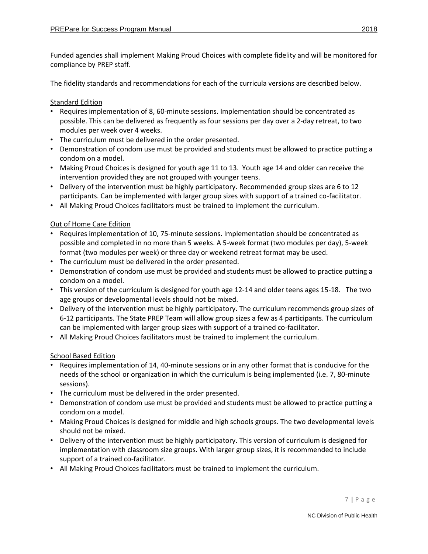Funded agencies shall implement Making Proud Choices with complete fidelity and will be monitored for compliance by PREP staff.

The fidelity standards and recommendations for each of the curricula versions are described below.

# Standard Edition

- Requires implementation of 8, 60-minute sessions. Implementation should be concentrated as possible. This can be delivered as frequently as four sessions per day over a 2-day retreat, to two modules per week over 4 weeks.
- The curriculum must be delivered in the order presented.
- Demonstration of condom use must be provided and students must be allowed to practice putting a condom on a model.
- Making Proud Choices is designed for youth age 11 to 13. Youth age 14 and older can receive the intervention provided they are not grouped with younger teens.
- Delivery of the intervention must be highly participatory. Recommended group sizes are 6 to 12 participants. Can be implemented with larger group sizes with support of a trained co-facilitator.
- All Making Proud Choices facilitators must be trained to implement the curriculum.

## Out of Home Care Edition

- Requires implementation of 10, 75-minute sessions. Implementation should be concentrated as possible and completed in no more than 5 weeks. A 5-week format (two modules per day), 5-week format (two modules per week) or three day or weekend retreat format may be used.
- The curriculum must be delivered in the order presented.
- Demonstration of condom use must be provided and students must be allowed to practice putting a condom on a model.
- This version of the curriculum is designed for youth age 12-14 and older teens ages 15-18. The two age groups or developmental levels should not be mixed.
- Delivery of the intervention must be highly participatory. The curriculum recommends group sizes of 6-12 participants. The State PREP Team will allow group sizes a few as 4 participants. The curriculum can be implemented with larger group sizes with support of a trained co-facilitator.
- All Making Proud Choices facilitators must be trained to implement the curriculum.

## School Based Edition

- Requires implementation of 14, 40-minute sessions or in any other format that is conducive for the needs of the school or organization in which the curriculum is being implemented (i.e. 7, 80-minute sessions).
- The curriculum must be delivered in the order presented.
- Demonstration of condom use must be provided and students must be allowed to practice putting a condom on a model.
- Making Proud Choices is designed for middle and high schools groups. The two developmental levels should not be mixed.
- Delivery of the intervention must be highly participatory. This version of curriculum is designed for implementation with classroom size groups. With larger group sizes, it is recommended to include support of a trained co-facilitator.
- All Making Proud Choices facilitators must be trained to implement the curriculum.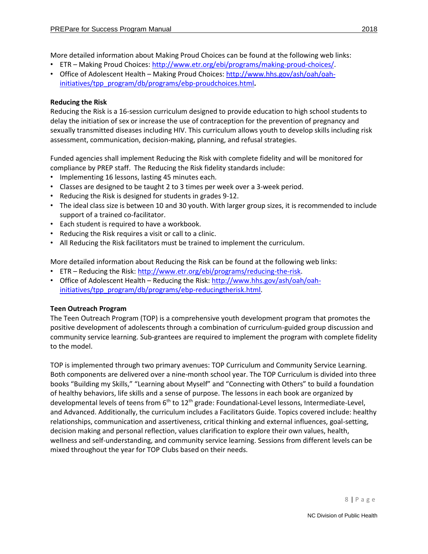More detailed information about Making Proud Choices can be found at the following web links:

- ETR Making Proud Choices[: http://www.etr.org/ebi/programs/making-proud-choices/.](http://www.etr.org/ebi/programs/making-proud-choices/)
- Office of Adolescent Health Making Proud Choices[: http://www.hhs.gov/ash/oah/oah](http://www.hhs.gov/ash/oah/oah-initiatives/tpp_program/db/programs/ebp-proudchoices.html)[initiatives/tpp\\_program/db/programs/ebp-proudchoices.html](http://www.hhs.gov/ash/oah/oah-initiatives/tpp_program/db/programs/ebp-proudchoices.html)**.**

## **Reducing the Risk**

Reducing the Risk is a 16-session curriculum designed to provide education to high school students to delay the initiation of sex or increase the use of contraception for the prevention of pregnancy and sexually transmitted diseases including HIV. This curriculum allows youth to develop skills including risk assessment, communication, decision-making, planning, and refusal strategies.

Funded agencies shall implement Reducing the Risk with complete fidelity and will be monitored for compliance by PREP staff. The Reducing the Risk fidelity standards include:

- Implementing 16 lessons, lasting 45 minutes each.
- Classes are designed to be taught 2 to 3 times per week over a 3-week period.
- Reducing the Risk is designed for students in grades 9-12.
- The ideal class size is between 10 and 30 youth. With larger group sizes, it is recommended to include support of a trained co-facilitator.
- Each student is required to have a workbook.
- Reducing the Risk requires a visit or call to a clinic.
- All Reducing the Risk facilitators must be trained to implement the curriculum.

More detailed information about Reducing the Risk can be found at the following web links:

- ETR Reducing the Risk: [http://www.etr.org/ebi/programs/reducing-the-risk.](http://www.etr.org/ebi/programs/reducing-the-risk)
- Office of Adolescent Health Reducing the Risk: [http://www.hhs.gov/ash/oah/oah](http://www.hhs.gov/ash/oah/oah-initiatives/tpp_program/db/programs/ebp-reducingtherisk.html)[initiatives/tpp\\_program/db/programs/ebp-reducingtherisk.html.](http://www.hhs.gov/ash/oah/oah-initiatives/tpp_program/db/programs/ebp-reducingtherisk.html)

## **Teen Outreach Program**

The Teen Outreach Program (TOP) is a comprehensive youth development program that promotes the positive development of adolescents through a combination of curriculum-guided group discussion and community service learning. Sub-grantees are required to implement the program with complete fidelity to the model.

TOP is implemented through two primary avenues: TOP Curriculum and Community Service Learning. Both components are delivered over a nine-month school year. The TOP Curriculum is divided into three books "Building my Skills," "Learning about Myself" and "Connecting with Others" to build a foundation of healthy behaviors, life skills and a sense of purpose. The lessons in each book are organized by developmental levels of teens from 6<sup>th</sup> to 12<sup>th</sup> grade: Foundational-Level lessons, Intermediate-Level, and Advanced. Additionally, the curriculum includes a Facilitators Guide. Topics covered include: healthy relationships, communication and assertiveness, critical thinking and external influences, goal-setting, decision making and personal reflection, values clarification to explore their own values, health, wellness and self-understanding, and community service learning. Sessions from different levels can be mixed throughout the year for TOP Clubs based on their needs.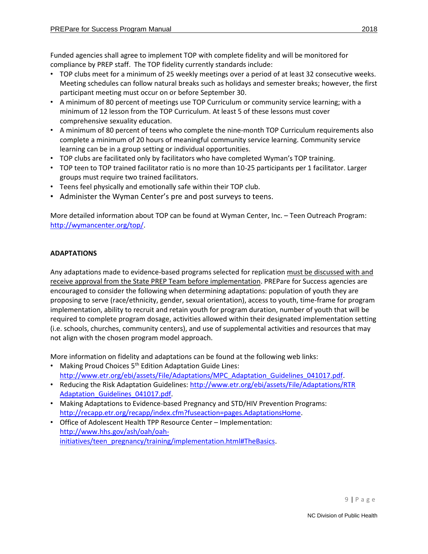Funded agencies shall agree to implement TOP with complete fidelity and will be monitored for compliance by PREP staff. The TOP fidelity currently standards include:

- TOP clubs meet for a minimum of 25 weekly meetings over a period of at least 32 consecutive weeks. Meeting schedules can follow natural breaks such as holidays and semester breaks; however, the first participant meeting must occur on or before September 30.
- A minimum of 80 percent of meetings use TOP Curriculum or community service learning; with a minimum of 12 lesson from the TOP Curriculum. At least 5 of these lessons must cover comprehensive sexuality education.
- A minimum of 80 percent of teens who complete the nine-month TOP Curriculum requirements also complete a minimum of 20 hours of meaningful community service learning. Community service learning can be in a group setting or individual opportunities.
- TOP clubs are facilitated only by facilitators who have completed Wyman's TOP training.
- TOP teen to TOP trained facilitator ratio is no more than 10-25 participants per 1 facilitator. Larger groups must require two trained facilitators.
- Teens feel physically and emotionally safe within their TOP club.
- Administer the Wyman Center's pre and post surveys to teens.

More detailed information about TOP can be found at Wyman Center, Inc. – Teen Outreach Program: [http://wymancenter.org/top/.](http://wymancenter.org/top/)

# <span id="page-8-0"></span>**ADAPTATIONS**

Any adaptations made to evidence-based programs selected for replication must be discussed with and receive approval from the State PREP Team before implementation. PREPare for Success agencies are encouraged to consider the following when determining adaptations: population of youth they are proposing to serve (race/ethnicity, gender, sexual orientation), access to youth, time-frame for program implementation, ability to recruit and retain youth for program duration, number of youth that will be required to complete program dosage, activities allowed within their designated implementation setting (i.e. schools, churches, community centers), and use of supplemental activities and resources that may not align with the chosen program model approach.

More information on fidelity and adaptations can be found at the following web links:

- Making Proud Choices 5<sup>th</sup> Edition Adaptation Guide Lines: [http://www.etr.org/ebi/assets/File/Adaptations/MPC\\_Adaptation\\_Guidelines\\_041017.pdf.](http://www.etr.org/ebi/assets/File/Adaptations/MPC_Adaptation_Guidelines_041017.pdf)
- Reducing the Risk Adaptation Guidelines: http://www.etr.org/ebi/assets/File/Adaptations/RTR Adaptation Guidelines 041017.pdf.
- Making Adaptations to Evidence-based Pregnancy and STD/HIV Prevention Programs: [http://recapp.etr.org/recapp/index.cfm?fuseaction=pages.AdaptationsHome.](http://recapp.etr.org/recapp/index.cfm?fuseaction=pages.AdaptationsHome)
- Office of Adolescent Health TPP Resource Center Implementation: [http://www.hhs.gov/ash/oah/oah](http://www.hhs.gov/ash/oah/oah-initiatives/teen_pregnancy/training/implementation.html#TheBasics)[initiatives/teen\\_pregnancy/training/implementation.html#TheBasics.](http://www.hhs.gov/ash/oah/oah-initiatives/teen_pregnancy/training/implementation.html#TheBasics)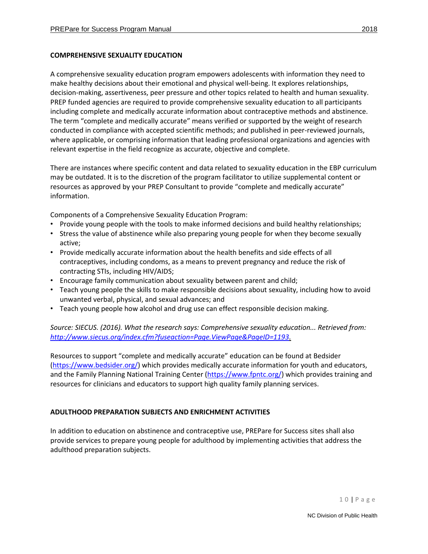## <span id="page-9-0"></span>**COMPREHENSIVE SEXUALITY EDUCATION**

A comprehensive sexuality education program empowers adolescents with information they need to make healthy decisions about their emotional and physical well-being. It explores relationships, decision-making, assertiveness, peer pressure and other topics related to health and human sexuality. PREP funded agencies are required to provide comprehensive sexuality education to all participants including complete and medically accurate information about contraceptive methods and abstinence. The term "complete and medically accurate" means verified or supported by the weight of research conducted in compliance with accepted scientific methods; and published in peer-reviewed journals, where applicable, or comprising information that leading professional organizations and agencies with relevant expertise in the field recognize as accurate, objective and complete.

There are instances where specific content and data related to sexuality education in the EBP curriculum may be outdated. It is to the discretion of the program facilitator to utilize supplemental content or resources as approved by your PREP Consultant to provide "complete and medically accurate" information.

Components of a Comprehensive Sexuality Education Program:

- Provide young people with the tools to make informed decisions and build healthy relationships;
- Stress the value of abstinence while also preparing young people for when they become sexually active;
- Provide medically accurate information about the health benefits and side effects of all contraceptives, including condoms, as a means to prevent pregnancy and reduce the risk of contracting STIs, including HIV/AIDS;
- Encourage family communication about sexuality between parent and child;
- Teach young people the skills to make responsible decisions about sexuality, including how to avoid unwanted verbal, physical, and sexual advances; and
- Teach young people how alcohol and drug use can effect responsible decision making.

*Source: SIECUS. (2016). What the research says: Comprehensive sexuality education... Retrieved from: [http://www.siecus.org/index.cfm?fuseaction=Page.ViewPage&PageID=1193.](http://www.siecus.org/index.cfm?fuseaction=Page.ViewPage&PageID=1193)* 

Resources to support "complete and medically accurate" education can be found at Bedsider [\(https://www.bedsider.org/\)](https://www.bedsider.org/) which provides medically accurate information for youth and educators, and the Family Planning National Training Center [\(https://www.fpntc.org/\)](https://www.fpntc.org/) which provides training and resources for clinicians and educators to support high quality family planning services.

# <span id="page-9-1"></span>**ADULTHOOD PREPARATION SUBJECTS AND ENRICHMENT ACTIVITIES**

In addition to education on abstinence and contraceptive use, PREPare for Success sites shall also provide services to prepare young people for adulthood by implementing activities that address the adulthood preparation subjects.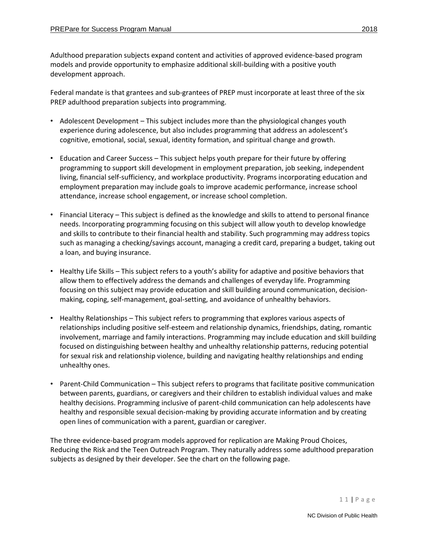Adulthood preparation subjects expand content and activities of approved evidence-based program models and provide opportunity to emphasize additional skill-building with a positive youth development approach.

Federal mandate is that grantees and sub-grantees of PREP must incorporate at least three of the six PREP adulthood preparation subjects into programming.

- Adolescent Development This subject includes more than the physiological changes youth experience during adolescence, but also includes programming that address an adolescent's cognitive, emotional, social, sexual, identity formation, and spiritual change and growth.
- Education and Career Success This subject helps youth prepare for their future by offering programming to support skill development in employment preparation, job seeking, independent living, financial self-sufficiency, and workplace productivity. Programs incorporating education and employment preparation may include goals to improve academic performance, increase school attendance, increase school engagement, or increase school completion.
- Financial Literacy This subject is defined as the knowledge and skills to attend to personal finance needs. Incorporating programming focusing on this subject will allow youth to develop knowledge and skills to contribute to their financial health and stability. Such programming may address topics such as managing a checking/savings account, managing a credit card, preparing a budget, taking out a loan, and buying insurance.
- Healthy Life Skills This subject refers to a youth's ability for adaptive and positive behaviors that allow them to effectively address the demands and challenges of everyday life. Programming focusing on this subject may provide education and skill building around communication, decisionmaking, coping, self-management, goal-setting, and avoidance of unhealthy behaviors.
- Healthy Relationships This subject refers to programming that explores various aspects of relationships including positive self-esteem and relationship dynamics, friendships, dating, romantic involvement, marriage and family interactions. Programming may include education and skill building focused on distinguishing between healthy and unhealthy relationship patterns, reducing potential for sexual risk and relationship violence, building and navigating healthy relationships and ending unhealthy ones.
- Parent-Child Communication This subject refers to programs that facilitate positive communication between parents, guardians, or caregivers and their children to establish individual values and make healthy decisions. Programming inclusive of parent-child communication can help adolescents have healthy and responsible sexual decision-making by providing accurate information and by creating open lines of communication with a parent, guardian or caregiver.

The three evidence-based program models approved for replication are Making Proud Choices, Reducing the Risk and the Teen Outreach Program. They naturally address some adulthood preparation subjects as designed by their developer. See the chart on the following page.

NC Division of Public Health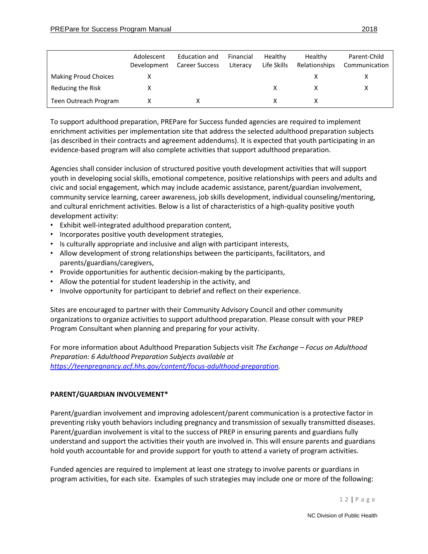|                             | Adolescent<br>Development | Education and<br><b>Career Success</b> | Financial<br>Literacy | Healthy<br>Life Skills | Healthy<br>Relationships | Parent-Child<br>Communication |
|-----------------------------|---------------------------|----------------------------------------|-----------------------|------------------------|--------------------------|-------------------------------|
| <b>Making Proud Choices</b> |                           |                                        |                       |                        |                          |                               |
| Reducing the Risk           |                           |                                        |                       |                        |                          |                               |
| Teen Outreach Program       |                           |                                        |                       |                        |                          |                               |

To support adulthood preparation, PREPare for Success funded agencies are required to implement enrichment activities per implementation site that address the selected adulthood preparation subjects (as described in their contracts and agreement addendums). It is expected that youth participating in an evidence-based program will also complete activities that support adulthood preparation.

Agencies shall consider inclusion of structured positive youth development activities that will support youth in developing social skills, emotional competence, positive relationships with peers and adults and civic and social engagement, which may include academic assistance, parent/guardian involvement, community service learning, career awareness, job skills development, individual counseling/mentoring, and cultural enrichment activities. Below is a list of characteristics of a high-quality positive youth development activity:

- Exhibit well-integrated adulthood preparation content,
- Incorporates positive youth development strategies,
- Is culturally appropriate and inclusive and align with participant interests,
- Allow development of strong relationships between the participants, facilitators, and parents/guardians/caregivers,
- Provide opportunities for authentic decision-making by the participants,
- Allow the potential for student leadership in the activity, and
- Involve opportunity for participant to debrief and reflect on their experience.

Sites are encouraged to partner with their Community Advisory Council and other community organizations to organize activities to support adulthood preparation. Please consult with your PREP Program Consultant when planning and preparing for your activity.

For more information about Adulthood Preparation Subjects visit *The Exchange – Focus on Adulthood Preparation: 6 Adulthood Preparation Subjects available at [https://teenpregnancy.acf.hhs.gov/content/focus-adulthood-preparation.](https://teenpregnancy.acf.hhs.gov/content/focus-adulthood-preparation)* 

## <span id="page-11-0"></span>**PARENT/GUARDIAN INVOLVEMENT\***

Parent/guardian involvement and improving adolescent/parent communication is a protective factor in preventing risky youth behaviors including pregnancy and transmission of sexually transmitted diseases. Parent/guardian involvement is vital to the success of PREP in ensuring parents and guardians fully understand and support the activities their youth are involved in. This will ensure parents and guardians hold youth accountable for and provide support for youth to attend a variety of program activities.

Funded agencies are required to implement at least one strategy to involve parents or guardians in program activities, for each site. Examples of such strategies may include one or more of the following:

1 2 | P a g e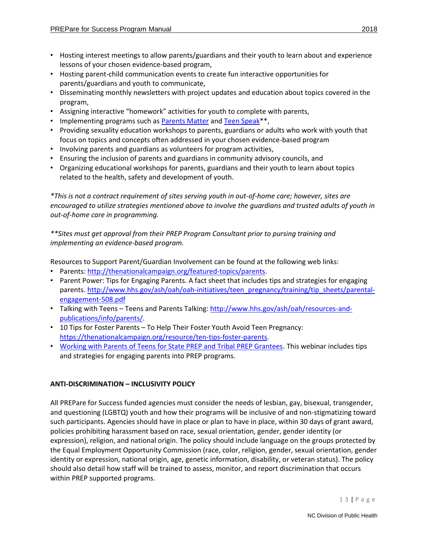- Hosting interest meetings to allow parents/guardians and their youth to learn about and experience lessons of your chosen evidence-based program,
- Hosting parent-child communication events to create fun interactive opportunities for parents/guardians and youth to communicate,
- Disseminating monthly newsletters with project updates and education about topics covered in the program,
- Assigning interactive "homework" activities for youth to complete with parents,
- Implementing programs such as [Parents Matter](https://npin.cdc.gov/parentsmatter/) and [Teen Speak\\*](https://drjennifersalerno.com/)\*,
- Providing sexuality education workshops to parents, guardians or adults who work with youth that focus on topics and concepts often addressed in your chosen evidence-based program
- Involving parents and guardians as volunteers for program activities,
- Ensuring the inclusion of parents and guardians in community advisory councils, and
- Organizing educational workshops for parents, guardians and their youth to learn about topics related to the health, safety and development of youth.

*\*This is not a contract requirement of sites serving youth in out-of-home care; however, sites are encouraged to utilize strategies mentioned above to involve the guardians and trusted adults of youth in out-of-home care in programming.* 

*\*\*Sites must get approval from their PREP Program Consultant prior to pursing training and implementing an evidence-based program.* 

Resources to Support Parent/Guardian Involvement can be found at the following web links:

- Parents: [http://thenationalcampaign.org/featured-topics/parents.](http://thenationalcampaign.org/featured-topics/parents)
- Parent Power: Tips for Engaging Parents. A fact sheet that includes tips and strategies for engaging parents. [http://www.hhs.gov/ash/oah/oah-initiatives/teen\\_pregnancy/training/tip\\_sheets/parental](http://www.hhs.gov/ash/oah/oah-initiatives/teen_pregnancy/training/tip_sheets/parental-engagement-508.pdf)[engagement-508.pdf](http://www.hhs.gov/ash/oah/oah-initiatives/teen_pregnancy/training/tip_sheets/parental-engagement-508.pdf)
- Talking with Teens Teens and Parents Talking[: http://www.hhs.gov/ash/oah/resources-and](http://www.hhs.gov/ash/oah/resources-and-publications/info/parents/)[publications/info/parents/.](http://www.hhs.gov/ash/oah/resources-and-publications/info/parents/)
- 10 Tips for Foster Parents To Help Their Foster Youth Avoid Teen Pregnancy: [https://thenationalcampaign.org/resource/ten-tips-foster-parents.](https://thenationalcampaign.org/resource/ten-tips-foster-parents)
- [Working with Parents of Teens for State PREP and Tribal PREP Grantees.](http://www.acf.hhs.gov/programs/fysb/resource/parents-app-20120926) This webinar includes tips and strategies for engaging parents into PREP programs.

# <span id="page-12-0"></span>**ANTI-DISCRIMINATION – INCLUSIVITY POLICY**

All PREPare for Success funded agencies must consider the needs of lesbian, gay, bisexual, transgender, and questioning (LGBTQ) youth and how their programs will be inclusive of and non-stigmatizing toward such participants. Agencies should have in place or plan to have in place, within 30 days of grant award, policies prohibiting harassment based on race, sexual orientation, gender, gender identity (or expression), religion, and national origin. The policy should include language on the groups protected by the Equal Employment Opportunity Commission (race, color, religion, gender, sexual orientation, gender identity or expression, national origin, age, genetic information, disability, or veteran status). The policy should also detail how staff will be trained to assess, monitor, and report discrimination that occurs within PREP supported programs.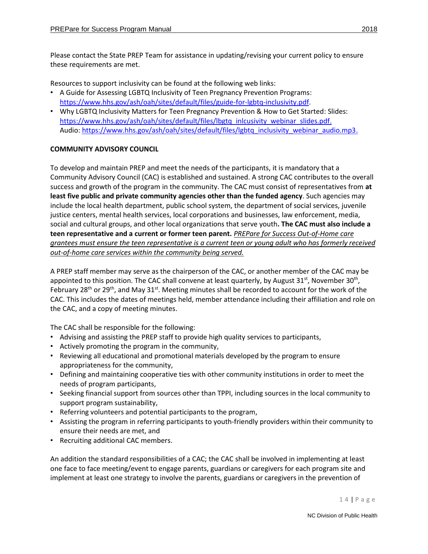Please contact the State PREP Team for assistance in updating/revising your current policy to ensure these requirements are met.

Resources to support inclusivity can be found at the following web links:

- A Guide for Assessing LGBTQ Inclusivity of Teen Pregnancy Prevention Programs: [https://www.hhs.gov/ash/oah/sites/default/files/guide-for-lgbtq-inclusivity.pdf.](https://www.hhs.gov/ash/oah/sites/default/files/guide-for-lgbtq-inclusivity.pdf)
- Why LGBTQ Inclusivity Matters for Teen Pregnancy Prevention & How to Get Started: [Slides:](Slides:%20)  [https://www.hhs.gov/ash/oah/sites/default/files/lbgtq\\_inlcusivity\\_webinar\\_slides.pdf.](https://www.hhs.gov/ash/oah/sites/default/files/lbgtq_inlcusivity_webinar_slides.pdf) Audio: [https://www.hhs.gov/ash/oah/sites/default/files/lgbtq\\_inclusivity\\_webinar\\_audio.mp3.](https://www.hhs.gov/ash/oah/sites/default/files/lgbtq_inclusivity_webinar_audio.mp3)

## <span id="page-13-0"></span>**COMMUNITY ADVISORY COUNCIL**

To develop and maintain PREP and meet the needs of the participants, it is mandatory that a Community Advisory Council (CAC) is established and sustained. A strong CAC contributes to the overall success and growth of the program in the community. The CAC must consist of representatives from **at least five public and private community agencies other than the funded agency**. Such agencies may include the local health department, public school system, the department of social services, juvenile justice centers, mental health services, local corporations and businesses, law enforcement, media, social and cultural groups, and other local organizations that serve youth**. The CAC must also include a teen representative and a current or former teen parent.** *PREPare for Success Out-of-Home care grantees must ensure the teen representative is a current teen or young adult who has formerly received out-of-home care services within the community being served.* 

A PREP staff member may serve as the chairperson of the CAC, or another member of the CAC may be appointed to this position. The CAC shall convene at least quarterly, by August 31<sup>st</sup>, November 30<sup>th</sup>, February 28<sup>th</sup> or 29<sup>th</sup>, and May 31<sup>st</sup>. Meeting minutes shall be recorded to account for the work of the CAC. This includes the dates of meetings held, member attendance including their affiliation and role on the CAC, and a copy of meeting minutes.

The CAC shall be responsible for the following:

- Advising and assisting the PREP staff to provide high quality services to participants,
- Actively promoting the program in the community,
- Reviewing all educational and promotional materials developed by the program to ensure appropriateness for the community,
- Defining and maintaining cooperative ties with other community institutions in order to meet the needs of program participants,
- Seeking financial support from sources other than TPPI, including sources in the local community to support program sustainability,
- Referring volunteers and potential participants to the program,
- Assisting the program in referring participants to youth-friendly providers within their community to ensure their needs are met, and
- Recruiting additional CAC members.

An addition the standard responsibilities of a CAC; the CAC shall be involved in implementing at least one face to face meeting/event to engage parents, guardians or caregivers for each program site and implement at least one strategy to involve the parents, guardians or caregivers in the prevention of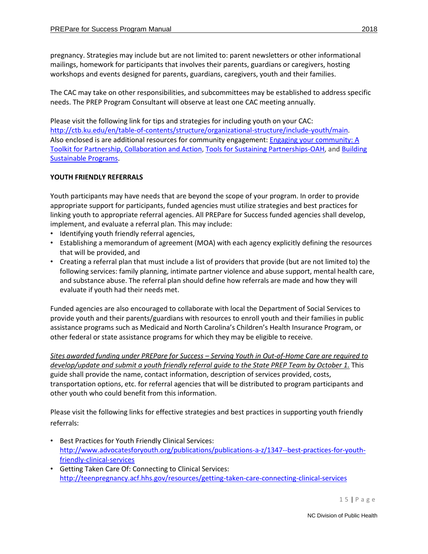pregnancy. Strategies may include but are not limited to: parent newsletters or other informational mailings, homework for participants that involves their parents, guardians or caregivers, hosting workshops and events designed for parents, guardians, caregivers, youth and their families.

The CAC may take on other responsibilities, and subcommittees may be established to address specific needs. The PREP Program Consultant will observe at least one CAC meeting annually.

Please visit the following link for tips and strategies for including youth on your CAC: [http://ctb.ku.edu/en/table-of-contents/structure/organizational-structure/include-youth/main.](http://ctb.ku.edu/en/table-of-contents/structure/organizational-structure/include-youth/main) Also enclosed is are additional resources for community engagement[: Engaging your community: A](http://r20.rs6.net/tn.jsp?f=001j14SJfhBTrDEOUp9WCd2ZW5y1GUD97MVCfl9kD6-w06ebsY2TVlkYg3BqdBH4Y6ofP0IlxvFY3qOJN1AxqLtmkosH2bl-575G60KGrr7gaANex5OizdoW9S_0wk7MNXSs7P_WewzAyUq_FqiwaS9g1IwTZI9MotnWe3eNrmhQ8R4RM7hYazPvpke5VaGDdje-vD9Ec72JtLk0bJevV3lzRb91hwHoCccnKFFyC9GjWQ=&c=U8mCOBIb2EqIGElyCLKphVFJXBJfbG_DYG3clcA9N0_aLdP4C1aLFg==&ch=RlmR8sM7Ln2dLjgQzx_r4Uxho11YmFXP02_8_VKBBPUJ8JsO0RQqkA==)  [Toolkit for Partnership, Collaboration and Action,](http://r20.rs6.net/tn.jsp?f=001j14SJfhBTrDEOUp9WCd2ZW5y1GUD97MVCfl9kD6-w06ebsY2TVlkYg3BqdBH4Y6ofP0IlxvFY3qOJN1AxqLtmkosH2bl-575G60KGrr7gaANex5OizdoW9S_0wk7MNXSs7P_WewzAyUq_FqiwaS9g1IwTZI9MotnWe3eNrmhQ8R4RM7hYazPvpke5VaGDdje-vD9Ec72JtLk0bJevV3lzRb91hwHoCccnKFFyC9GjWQ=&c=U8mCOBIb2EqIGElyCLKphVFJXBJfbG_DYG3clcA9N0_aLdP4C1aLFg==&ch=RlmR8sM7Ln2dLjgQzx_r4Uxho11YmFXP02_8_VKBBPUJ8JsO0RQqkA==) [Tools for Sustaining Partnerships-OAH,](https://www.hhs.gov/ash/oah/resources-and-training/tpp-and-paf-resources/community-mobilization-and-sustainability/tools/index.html) and [Building](http://r20.rs6.net/tn.jsp?f=001j14SJfhBTrDEOUp9WCd2ZW5y1GUD97MVCfl9kD6-w06ebsY2TVlkYg3BqdBH4Y6oOBC5JxOXn93sqEXQ7Js1SBrGEHguzZr3VtP5AyFxrkzImH3Wld9eGfzKN4p8cs-HWKnlG6CMnUjdH9bRwI4uelYC-0ZtGsgPZP5GAT7wqjQ6l-Xs9LPaytyeppvfv8aWLC2wgZ0I82e1Dxx-y9KfsrIXi2s-iVra3sVuUKnxxLV9GHqnnoX9bw==&c=U8mCOBIb2EqIGElyCLKphVFJXBJfbG_DYG3clcA9N0_aLdP4C1aLFg==&ch=RlmR8sM7Ln2dLjgQzx_r4Uxho11YmFXP02_8_VKBBPUJ8JsO0RQqkA==)  [Sustainable Programs.](http://r20.rs6.net/tn.jsp?f=001j14SJfhBTrDEOUp9WCd2ZW5y1GUD97MVCfl9kD6-w06ebsY2TVlkYg3BqdBH4Y6oOBC5JxOXn93sqEXQ7Js1SBrGEHguzZr3VtP5AyFxrkzImH3Wld9eGfzKN4p8cs-HWKnlG6CMnUjdH9bRwI4uelYC-0ZtGsgPZP5GAT7wqjQ6l-Xs9LPaytyeppvfv8aWLC2wgZ0I82e1Dxx-y9KfsrIXi2s-iVra3sVuUKnxxLV9GHqnnoX9bw==&c=U8mCOBIb2EqIGElyCLKphVFJXBJfbG_DYG3clcA9N0_aLdP4C1aLFg==&ch=RlmR8sM7Ln2dLjgQzx_r4Uxho11YmFXP02_8_VKBBPUJ8JsO0RQqkA==)

# <span id="page-14-0"></span>**YOUTH FRIENDLY REFERRALS**

Youth participants may have needs that are beyond the scope of your program. In order to provide appropriate support for participants, funded agencies must utilize strategies and best practices for linking youth to appropriate referral agencies. All PREPare for Success funded agencies shall develop, implement, and evaluate a referral plan. This may include:

- Identifying youth friendly referral agencies,
- Establishing a memorandum of agreement (MOA) with each agency explicitly defining the resources that will be provided, and
- Creating a referral plan that must include a list of providers that provide (but are not limited to) the following services: family planning, intimate partner violence and abuse support, mental health care, and substance abuse. The referral plan should define how referrals are made and how they will evaluate if youth had their needs met.

Funded agencies are also encouraged to collaborate with local the Department of Social Services to provide youth and their parents/guardians with resources to enroll youth and their families in public assistance programs such as Medicaid and North Carolina's Children's Health Insurance Program, or other federal or state assistance programs for which they may be eligible to receive.

*Sites awarded funding under PREPare for Success – Serving Youth in Out-of-Home Care are required to develop/update and submit a youth friendly referral guide to the State PREP Team by October 1.* This guide shall provide the name, contact information, description of services provided, costs, transportation options, etc. for referral agencies that will be distributed to program participants and other youth who could benefit from this information.

Please visit the following links for effective strategies and best practices in supporting youth friendly referrals:

- Best Practices for Youth Friendly Clinical Services: [http://www.advocatesforyouth.org/publications/publications-a-z/1347--best-practices-for-youth](http://www.advocatesforyouth.org/publications/publications-a-z/1347--best-practices-for-youth-friendly-clinical-services)[friendly-clinical-services](http://www.advocatesforyouth.org/publications/publications-a-z/1347--best-practices-for-youth-friendly-clinical-services)
- Getting Taken Care Of: Connecting to Clinical Services: <http://teenpregnancy.acf.hhs.gov/resources/getting-taken-care-connecting-clinical-services>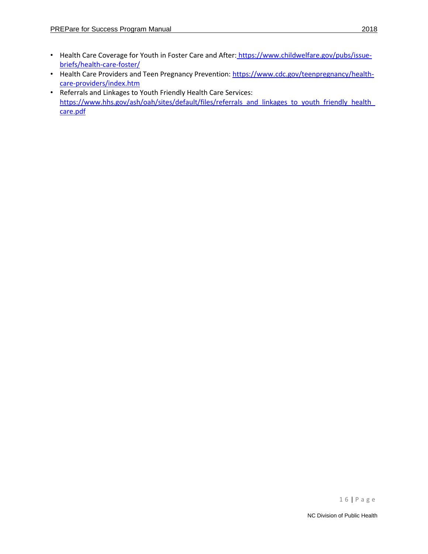- Health Care Coverage for Youth in Foster Care and After: [https://www.childwelfare.gov/pubs/issue](https://www.childwelfare.gov/pubs/issue-briefs/health-care-foster/)[briefs/health-care-foster/](https://www.childwelfare.gov/pubs/issue-briefs/health-care-foster/)
- Health Care Providers and Teen Pregnancy Prevention[: https://www.cdc.gov/teenpregnancy/health](https://www.cdc.gov/teenpregnancy/health-care-providers/index.htm)[care-providers/index.htm](https://www.cdc.gov/teenpregnancy/health-care-providers/index.htm)
- Referrals and Linkages to Youth Friendly Health Care Services: [https://www.hhs.gov/ash/oah/sites/default/files/referrals\\_and\\_linkages\\_to\\_youth\\_friendly\\_health\\_](https://www.hhs.gov/ash/oah/sites/default/files/referrals_and_linkages_to_youth_friendly_health_care.pdf) [care.pdf](https://www.hhs.gov/ash/oah/sites/default/files/referrals_and_linkages_to_youth_friendly_health_care.pdf)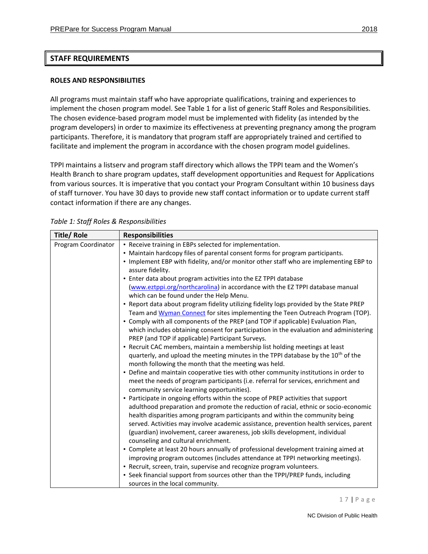## <span id="page-16-1"></span><span id="page-16-0"></span>**ROLES AND RESPONSIBILITIES**

All programs must maintain staff who have appropriate qualifications, training and experiences to implement the chosen program model. See Table 1 for a list of generic Staff Roles and Responsibilities. The chosen evidence-based program model must be implemented with fidelity (as intended by the program developers) in order to maximize its effectiveness at preventing pregnancy among the program participants. Therefore, it is mandatory that program staff are appropriately trained and certified to facilitate and implement the program in accordance with the chosen program model guidelines.

TPPI maintains a listserv and program staff directory which allows the TPPI team and the Women's Health Branch to share program updates, staff development opportunities and Request for Applications from various sources. It is imperative that you contact your Program Consultant within 10 business days of staff turnover. You have 30 days to provide new staff contact information or to update current staff contact information if there are any changes.

| <b>Title/ Role</b>  | <b>Responsibilities</b>                                                                                                                                                |
|---------------------|------------------------------------------------------------------------------------------------------------------------------------------------------------------------|
| Program Coordinator | • Receive training in EBPs selected for implementation.                                                                                                                |
|                     | • Maintain hardcopy files of parental consent forms for program participants.                                                                                          |
|                     | . Implement EBP with fidelity, and/or monitor other staff who are implementing EBP to                                                                                  |
|                     | assure fidelity.                                                                                                                                                       |
|                     | • Enter data about program activities into the EZ TPPI database                                                                                                        |
|                     | (www.eztppi.org/northcarolina) in accordance with the EZ TPPI database manual                                                                                          |
|                     | which can be found under the Help Menu.                                                                                                                                |
|                     | . Report data about program fidelity utilizing fidelity logs provided by the State PREP                                                                                |
|                     | Team and Wyman Connect for sites implementing the Teen Outreach Program (TOP).                                                                                         |
|                     | • Comply with all components of the PREP (and TOP if applicable) Evaluation Plan,                                                                                      |
|                     | which includes obtaining consent for participation in the evaluation and administering                                                                                 |
|                     | PREP (and TOP if applicable) Participant Surveys.                                                                                                                      |
|                     | • Recruit CAC members, maintain a membership list holding meetings at least                                                                                            |
|                     | quarterly, and upload the meeting minutes in the TPPI database by the 10 <sup>th</sup> of the                                                                          |
|                     | month following the month that the meeting was held.                                                                                                                   |
|                     | • Define and maintain cooperative ties with other community institutions in order to                                                                                   |
|                     | meet the needs of program participants (i.e. referral for services, enrichment and                                                                                     |
|                     | community service learning opportunities).                                                                                                                             |
|                     | • Participate in ongoing efforts within the scope of PREP activities that support                                                                                      |
|                     | adulthood preparation and promote the reduction of racial, ethnic or socio-economic                                                                                    |
|                     | health disparities among program participants and within the community being<br>served. Activities may involve academic assistance, prevention health services, parent |
|                     | (guardian) involvement, career awareness, job skills development, individual                                                                                           |
|                     | counseling and cultural enrichment.                                                                                                                                    |
|                     | • Complete at least 20 hours annually of professional development training aimed at                                                                                    |
|                     | improving program outcomes (includes attendance at TPPI networking meetings).                                                                                          |
|                     | • Recruit, screen, train, supervise and recognize program volunteers.                                                                                                  |
|                     | • Seek financial support from sources other than the TPPI/PREP funds, including                                                                                        |
|                     | sources in the local community.                                                                                                                                        |

*Table 1: Staff Roles & Responsibilities*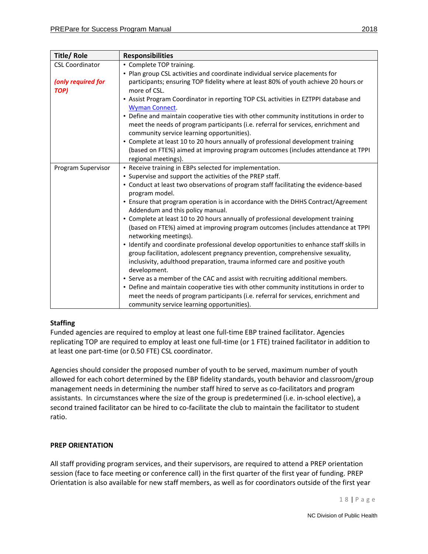| <b>Title/Role</b>          | <b>Responsibilities</b>                                                                                                                                                                                                                                                 |
|----------------------------|-------------------------------------------------------------------------------------------------------------------------------------------------------------------------------------------------------------------------------------------------------------------------|
| <b>CSL Coordinator</b>     | • Complete TOP training.                                                                                                                                                                                                                                                |
|                            | • Plan group CSL activities and coordinate individual service placements for                                                                                                                                                                                            |
| (only required for<br>TOP) | participants; ensuring TOP fidelity where at least 80% of youth achieve 20 hours or<br>more of CSL.                                                                                                                                                                     |
|                            | • Assist Program Coordinator in reporting TOP CSL activities in EZTPPI database and<br>Wyman Connect.                                                                                                                                                                   |
|                            | • Define and maintain cooperative ties with other community institutions in order to<br>meet the needs of program participants (i.e. referral for services, enrichment and<br>community service learning opportunities).                                                |
|                            | • Complete at least 10 to 20 hours annually of professional development training<br>(based on FTE%) aimed at improving program outcomes (includes attendance at TPPI<br>regional meetings).                                                                             |
| Program Supervisor         | • Receive training in EBPs selected for implementation.                                                                                                                                                                                                                 |
|                            | • Supervise and support the activities of the PREP staff.                                                                                                                                                                                                               |
|                            | • Conduct at least two observations of program staff facilitating the evidence-based<br>program model.                                                                                                                                                                  |
|                            | • Ensure that program operation is in accordance with the DHHS Contract/Agreement<br>Addendum and this policy manual.                                                                                                                                                   |
|                            | • Complete at least 10 to 20 hours annually of professional development training<br>(based on FTE%) aimed at improving program outcomes (includes attendance at TPPI<br>networking meetings).                                                                           |
|                            | • Identify and coordinate professional develop opportunities to enhance staff skills in<br>group facilitation, adolescent pregnancy prevention, comprehensive sexuality,<br>inclusivity, adulthood preparation, trauma informed care and positive youth<br>development. |
|                            | • Serve as a member of the CAC and assist with recruiting additional members.                                                                                                                                                                                           |
|                            | • Define and maintain cooperative ties with other community institutions in order to                                                                                                                                                                                    |
|                            | meet the needs of program participants (i.e. referral for services, enrichment and<br>community service learning opportunities).                                                                                                                                        |

# **Staffing**

Funded agencies are required to employ at least one full-time EBP trained facilitator. Agencies replicating TOP are required to employ at least one full-time (or 1 FTE) trained facilitator in addition to at least one part-time (or 0.50 FTE) CSL coordinator.

Agencies should consider the proposed number of youth to be served, maximum number of youth allowed for each cohort determined by the EBP fidelity standards, youth behavior and classroom/group management needs in determining the number staff hired to serve as co-facilitators and program assistants. In circumstances where the size of the group is predetermined (i.e. in-school elective), a second trained facilitator can be hired to co-facilitate the club to maintain the facilitator to student ratio.

# <span id="page-17-0"></span>**PREP ORIENTATION**

All staff providing program services, and their supervisors, are required to attend a PREP orientation session (face to face meeting or conference call) in the first quarter of the first year of funding. PREP Orientation is also available for new staff members, as well as for coordinators outside of the first year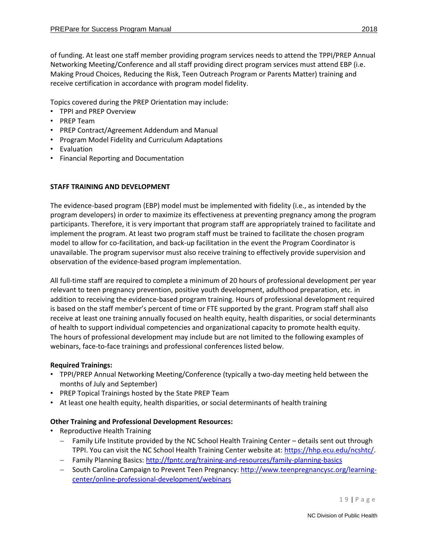of funding. At least one staff member providing program services needs to attend the TPPI/PREP Annual Networking Meeting/Conference and all staff providing direct program services must attend EBP (i.e. Making Proud Choices, Reducing the Risk, Teen Outreach Program or Parents Matter) training and receive certification in accordance with program model fidelity.

Topics covered during the PREP Orientation may include:

- TPPI and PREP Overview
- PREP Team
- PREP Contract/Agreement Addendum and Manual
- Program Model Fidelity and Curriculum Adaptations
- Evaluation
- Financial Reporting and Documentation

# <span id="page-18-0"></span>**STAFF TRAINING AND DEVELOPMENT**

The evidence-based program (EBP) model must be implemented with fidelity (i.e., as intended by the program developers) in order to maximize its effectiveness at preventing pregnancy among the program participants. Therefore, it is very important that program staff are appropriately trained to facilitate and implement the program. At least two program staff must be trained to facilitate the chosen program model to allow for co-facilitation, and back-up facilitation in the event the Program Coordinator is unavailable. The program supervisor must also receive training to effectively provide supervision and observation of the evidence-based program implementation.

All full-time staff are required to complete a minimum of 20 hours of professional development per year relevant to teen pregnancy prevention, positive youth development, adulthood preparation, etc. in addition to receiving the evidence-based program training. Hours of professional development required is based on the staff member's percent of time or FTE supported by the grant. Program staff shall also receive at least one training annually focused on health equity, health disparities, or social determinants of health to support individual competencies and organizational capacity to promote health equity. The hours of professional development may include but are not limited to the following examples of webinars, face-to-face trainings and professional conferences listed below.

# **Required Trainings:**

- TPPI/PREP Annual Networking Meeting/Conference (typically a two-day meeting held between the months of July and September)
- PREP Topical Trainings hosted by the State PREP Team
- At least one health equity, health disparities, or social determinants of health training

# **Other Training and Professional Development Resources:**

- Reproductive Health Training
	- − Family Life Institute provided by the NC School Health Training Center details sent out through TPPI. You can visit the NC School Health Training Center website at[: https://hhp.ecu.edu/ncshtc/.](https://hhp.ecu.edu/ncshtc/)
	- − Family Planning Basics[: http://fpntc.org/training-and-resources/family-planning-basics](http://fpntc.org/training-and-resources/family-planning-basics)
	- − South Carolina Campaign to Prevent Teen Pregnancy[: http://www.teenpregnancysc.org/learning](http://www.teenpregnancysc.org/learning-center/online-professional-development/webinars)[center/online-professional-development/webinars](http://www.teenpregnancysc.org/learning-center/online-professional-development/webinars)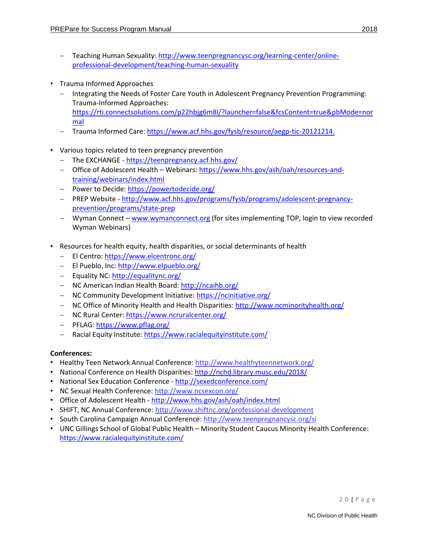- − Teaching Human Sexuality[: http://www.teenpregnancysc.org/learning-center/online](http://www.teenpregnancysc.org/learning-center/online-professional-development/teaching-human-sexuality)[professional-development/teaching-human-sexuality](http://www.teenpregnancysc.org/learning-center/online-professional-development/teaching-human-sexuality)
- Trauma Informed Approaches
	- − Integrating the Needs of Foster Care Youth in Adolescent Pregnancy Prevention Programming: Trauma-Informed Approaches: [https://rti.connectsolutions.com/p22hbjg6m8l/?launcher=false&fcsContent=true&pbMode=nor](https://rti.connectsolutions.com/p22hbjg6m8l/?launcher=false&fcsContent=true&pbMode=normal) [mal](https://rti.connectsolutions.com/p22hbjg6m8l/?launcher=false&fcsContent=true&pbMode=normal)
	- Trauma Informed Care: [https://www.acf.hhs.gov/fysb/resource/aegp-tic-20121214.](https://www.acf.hhs.gov/fysb/resource/aegp-tic-20121214)
- Various topics related to teen pregnancy prevention
	- − The EXCHANGE <https://teenpregnancy.acf.hhs.gov/>
	- − Office of Adolescent Health Webinars: [https://www.hhs.gov/ash/oah/resources-and](https://www.hhs.gov/ash/oah/resources-and-training/webinars/index.html)[training/webinars/index.html](https://www.hhs.gov/ash/oah/resources-and-training/webinars/index.html)
	- − Power to Decide[: https://powertodecide.org/](https://powertodecide.org/)
	- − PREP Website [http://www.acf.hhs.gov/programs/fysb/programs/adolescent-pregnancy](http://www.acf.hhs.gov/programs/fysb/programs/adolescent-pregnancy-prevention/programs/state-prep)[prevention/programs/state-prep](http://www.acf.hhs.gov/programs/fysb/programs/adolescent-pregnancy-prevention/programs/state-prep)
	- − Wyman Connect [www.wymanconnect.org](http://www.wymanconnect.org/) (for sites implementing TOP, login to view recorded Wyman Webinars)
- Resources for health equity, health disparities, or social determinants of health
	- − El Centro:<https://www.elcentronc.org/>
	- − El Pueblo, Inc:<http://www.elpueblo.org/>
	- − Equality NC[: http://equalitync.org/](http://equalitync.org/)
	- − NC American Indian Health Board[: http://ncaihb.org/](http://ncaihb.org/)
	- − NC Community Development Initiative:<https://ncinitiative.org/>
	- − NC Office of Minority Health and Health Disparities[: http://www.ncminorityhealth.org/](http://www.ncminorityhealth.org/)
	- − NC Rural Center[: https://www.ncruralcenter.org/](https://www.ncruralcenter.org/)
	- − PFLAG[: https://www.pflag.org/](https://www.pflag.org/)
	- − Racial Equity Institute:<https://www.racialequityinstitute.com/>

# **Conferences:**

- Healthy Teen Network Annual Conference:<http://www.healthyteennetwork.org/>
- National Conference on Health Disparities: http://nchd.library.musc.edu/2018/
- National Sex Education Conference <http://sexedconference.com/>
- NC Sexual Health Conference:<http://www.ncsexcon.org/>
- Office of Adolescent Health <http://www.hhs.gov/ash/oah/index.html>
- SHIFT, NC Annual Conference:<http://www.shiftnc.org/professional-development>
- South Carolina Campaign Annual Conference:<http://www.teenpregnancysc.org/si>
- UNC Gillings School of Global Public Health Minority Student Caucus Minority Health Conference: <https://www.racialequityinstitute.com/>

2 0 | P a g e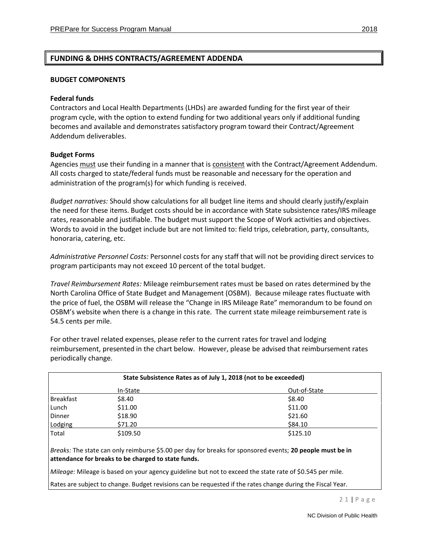# <span id="page-20-0"></span>**FUNDING & DHHS CONTRACTS/AGREEMENT ADDENDA**

#### <span id="page-20-1"></span>**BUDGET COMPONENTS**

#### **Federal funds**

Contractors and Local Health Departments (LHDs) are awarded funding for the first year of their program cycle, with the option to extend funding for two additional years only if additional funding becomes and available and demonstrates satisfactory program toward their Contract/Agreement Addendum deliverables.

#### **Budget Forms**

Agencies must use their funding in a manner that is consistent with the Contract/Agreement Addendum. All costs charged to state/federal funds must be reasonable and necessary for the operation and administration of the program(s) for which funding is received.

*Budget narratives:* Should show calculations for all budget line items and should clearly justify/explain the need for these items. Budget costs should be in accordance with State subsistence rates/IRS mileage rates, reasonable and justifiable. The budget must support the Scope of Work activities and objectives. Words to avoid in the budget include but are not limited to: field trips, celebration, party, consultants, honoraria, catering, etc.

*Administrative Personnel Costs:* Personnel costs for any staff that will not be providing direct services to program participants may not exceed 10 percent of the total budget.

*Travel Reimbursement Rates:* Mileage reimbursement rates must be based on rates determined by the North Carolina Office of State Budget and Management (OSBM). Because mileage rates fluctuate with the price of fuel, the OSBM will release the "Change in IRS Mileage Rate" memorandum to be found on OSBM's website when there is a change in this rate. The current state mileage reimbursement rate is 54.5 cents per mile.

For other travel related expenses, please refer to the current rates for travel and lodging reimbursement, presented in the chart below. However, please be advised that reimbursement rates periodically change.

|           | State Subsistence Rates as of July 1, 2018 (not to be exceeded) |              |
|-----------|-----------------------------------------------------------------|--------------|
|           | In-State                                                        | Out-of-State |
| Breakfast | \$8.40                                                          | \$8.40       |
| Lunch     | \$11.00                                                         | \$11.00      |
| Dinner    | \$18.90                                                         | \$21.60      |
| Lodging   | S71.20                                                          | \$84.10      |
| Total     | \$109.50                                                        | \$125.10     |

*Breaks:* The state can only reimburse \$5.00 per day for breaks for sponsored events; **20 people must be in attendance for breaks to be charged to state funds.** 

*Mileage:* Mileage is based on your agency guideline but not to exceed the state rate of \$0.545 per mile.

Rates are subject to change. Budget revisions can be requested if the rates change during the Fiscal Year.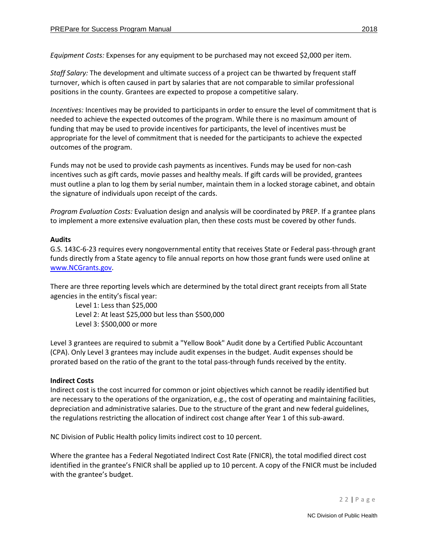*Equipment Costs:* Expenses for any equipment to be purchased may not exceed \$2,000 per item.

*Staff Salary:* The development and ultimate success of a project can be thwarted by frequent staff turnover, which is often caused in part by salaries that are not comparable to similar professional positions in the county. Grantees are expected to propose a competitive salary.

*Incentives:* Incentives may be provided to participants in order to ensure the level of commitment that is needed to achieve the expected outcomes of the program. While there is no maximum amount of funding that may be used to provide incentives for participants, the level of incentives must be appropriate for the level of commitment that is needed for the participants to achieve the expected outcomes of the program.

Funds may not be used to provide cash payments as incentives. Funds may be used for non-cash incentives such as gift cards, movie passes and healthy meals. If gift cards will be provided, grantees must outline a plan to log them by serial number, maintain them in a locked storage cabinet, and obtain the signature of individuals upon receipt of the cards.

*Program Evaluation Costs:* Evaluation design and analysis will be coordinated by PREP. If a grantee plans to implement a more extensive evaluation plan, then these costs must be covered by other funds.

## **Audits**

G.S. 143C-6-23 requires every nongovernmental entity that receives State or Federal pass-through grant funds directly from a State agency to file annual reports on how those grant funds were used online at [www.NCGrants.gov.](http://www.ncgrants.gov/)

There are three reporting levels which are determined by the total direct grant receipts from all State agencies in the entity's fiscal year:

Level 1: Less than \$25,000 Level 2: At least \$25,000 but less than \$500,000 Level 3: \$500,000 or more

Level 3 grantees are required to submit a "Yellow Book" Audit done by a Certified Public Accountant (CPA). Only Level 3 grantees may include audit expenses in the budget. Audit expenses should be prorated based on the ratio of the grant to the total pass-through funds received by the entity.

# **Indirect Costs**

Indirect cost is the cost incurred for common or joint objectives which cannot be readily identified but are necessary to the operations of the organization, e.g., the cost of operating and maintaining facilities, depreciation and administrative salaries. Due to the structure of the grant and new federal guidelines, the regulations restricting the allocation of indirect cost change after Year 1 of this sub-award.

NC Division of Public Health policy limits indirect cost to 10 percent.

Where the grantee has a Federal Negotiated Indirect Cost Rate (FNICR), the total modified direct cost identified in the grantee's FNICR shall be applied up to 10 percent. A copy of the FNICR must be included with the grantee's budget.

2 2 | P a g e

NC Division of Public Health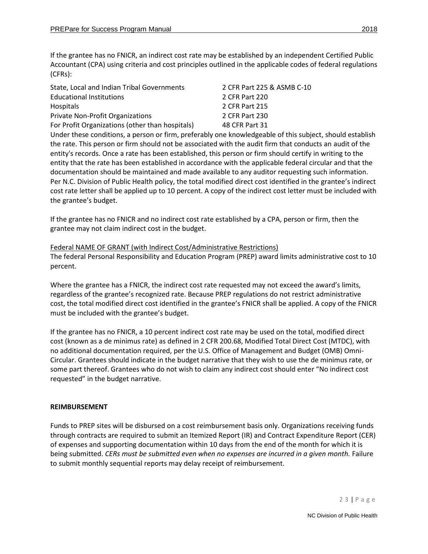If the grantee has no FNICR, an indirect cost rate may be established by an independent Certified Public Accountant (CPA) using criteria and cost principles outlined in the applicable codes of federal regulations (CFRs):

| State, Local and Indian Tribal Governments      | 2 CFR Part 225 & ASMB C-10 |
|-------------------------------------------------|----------------------------|
| <b>Educational Institutions</b>                 | 2 CFR Part 220             |
| Hospitals                                       | 2 CFR Part 215             |
| <b>Private Non-Profit Organizations</b>         | 2 CFR Part 230             |
| For Profit Organizations (other than hospitals) | 48 CFR Part 31             |

Under these conditions, a person or firm, preferably one knowledgeable of this subject, should establish the rate. This person or firm should not be associated with the audit firm that conducts an audit of the entity's records. Once a rate has been established, this person or firm should certify in writing to the entity that the rate has been established in accordance with the applicable federal circular and that the documentation should be maintained and made available to any auditor requesting such information. Per N.C. Division of Public Health policy, the total modified direct cost identified in the grantee's indirect cost rate letter shall be applied up to 10 percent. A copy of the indirect cost letter must be included with the grantee's budget.

If the grantee has no FNICR and no indirect cost rate established by a CPA, person or firm, then the grantee may not claim indirect cost in the budget.

Federal NAME OF GRANT (with Indirect Cost/Administrative Restrictions) The federal Personal Responsibility and Education Program (PREP) award limits administrative cost to 10 percent.

Where the grantee has a FNICR, the indirect cost rate requested may not exceed the award's limits, regardless of the grantee's recognized rate. Because PREP regulations do not restrict administrative cost, the total modified direct cost identified in the grantee's FNICR shall be applied. A copy of the FNICR must be included with the grantee's budget.

If the grantee has no FNICR, a 10 percent indirect cost rate may be used on the total, modified direct cost (known as a de minimus rate) as defined in 2 CFR 200.68, Modified Total Direct Cost (MTDC), with no additional documentation required, per the U.S. Office of Management and Budget (OMB) Omni-Circular. Grantees should indicate in the budget narrative that they wish to use the de minimus rate, or some part thereof. Grantees who do not wish to claim any indirect cost should enter "No indirect cost requested" in the budget narrative.

# **REIMBURSEMENT**

Funds to PREP sites will be disbursed on a cost reimbursement basis only. Organizations receiving funds through contracts are required to submit an Itemized Report (IR) and Contract Expenditure Report (CER) of expenses and supporting documentation within 10 days from the end of the month for which it is being submitted. *CERs must be submitted even when no expenses are incurred in a given month.* Failure to submit monthly sequential reports may delay receipt of reimbursement.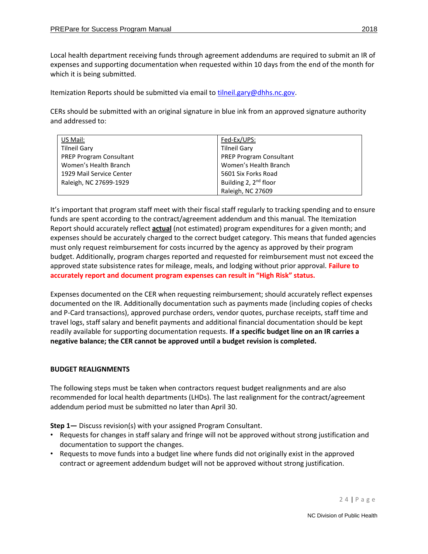Local health department receiving funds through agreement addendums are required to submit an IR of expenses and supporting documentation when requested within 10 days from the end of the month for which it is being submitted.

Itemization Reports should be submitted via email to [tilneil.gary@dhhs.nc.gov.](mailto:tilneil.gary@dhhs.nc.gov)

CERs should be submitted with an original signature in blue ink from an approved signature authority and addressed to:

| US Mail:                       | Fed-Ex/UPS:                       |
|--------------------------------|-----------------------------------|
| <b>Tilneil Gary</b>            | <b>Tilneil Gary</b>               |
| <b>PREP Program Consultant</b> | <b>PREP Program Consultant</b>    |
| Women's Health Branch          | Women's Health Branch             |
| 1929 Mail Service Center       | 5601 Six Forks Road               |
| Raleigh, NC 27699-1929         | Building 2, 2 <sup>nd</sup> floor |
|                                | Raleigh, NC 27609                 |

It's important that program staff meet with their fiscal staff regularly to tracking spending and to ensure funds are spent according to the contract/agreement addendum and this manual. The Itemization Report should accurately reflect **actual** (not estimated) program expenditures for a given month; and expenses should be accurately charged to the correct budget category. This means that funded agencies must only request reimbursement for costs incurred by the agency as approved by their program budget. Additionally, program charges reported and requested for reimbursement must not exceed the approved state subsistence rates for mileage, meals, and lodging without prior approval. **Failure to accurately report and document program expenses can result in "High Risk" status.**

Expenses documented on the CER when requesting reimbursement; should accurately reflect expenses documented on the IR. Additionally documentation such as payments made (including copies of checks and P-Card transactions), approved purchase orders, vendor quotes, purchase receipts, staff time and travel logs, staff salary and benefit payments and additional financial documentation should be kept readily available for supporting documentation requests. **If a specific budget line on an IR carries a negative balance; the CER cannot be approved until a budget revision is completed.**

# <span id="page-23-0"></span>**BUDGET REALIGNMENTS**

The following steps must be taken when contractors request budget realignments and are also recommended for local health departments (LHDs). The last realignment for the contract/agreement addendum period must be submitted no later than April 30.

**Step 1—** Discuss revision(s) with your assigned Program Consultant.

- Requests for changes in staff salary and fringe will not be approved without strong justification and documentation to support the changes.
- Requests to move funds into a budget line where funds did not originally exist in the approved contract or agreement addendum budget will not be approved without strong justification.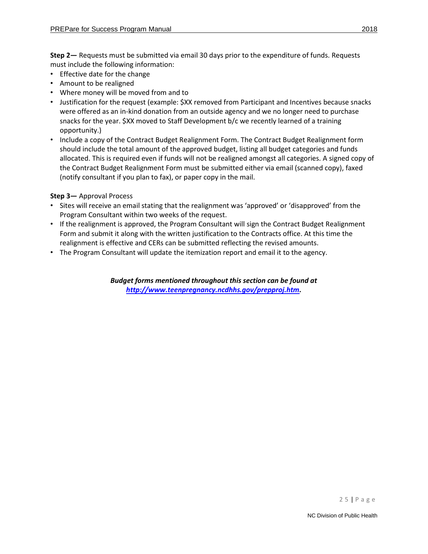**Step 2—** Requests must be submitted via email 30 days prior to the expenditure of funds. Requests must include the following information:

- Effective date for the change
- Amount to be realigned
- Where money will be moved from and to
- Justification for the request (example: \$XX removed from Participant and Incentives because snacks were offered as an in-kind donation from an outside agency and we no longer need to purchase snacks for the year. \$XX moved to Staff Development b/c we recently learned of a training opportunity.)
- Include a copy of the Contract Budget Realignment Form. The Contract Budget Realignment form should include the total amount of the approved budget, listing all budget categories and funds allocated. This is required even if funds will not be realigned amongst all categories. A signed copy of the Contract Budget Realignment Form must be submitted either via email (scanned copy), faxed (notify consultant if you plan to fax), or paper copy in the mail.

## **Step 3—** Approval Process

- Sites will receive an email stating that the realignment was 'approved' or 'disapproved' from the Program Consultant within two weeks of the request.
- If the realignment is approved, the Program Consultant will sign the Contract Budget Realignment Form and submit it along with the written justification to the Contracts office. At this time the realignment is effective and CERs can be submitted reflecting the revised amounts.
- The Program Consultant will update the itemization report and email it to the agency.

*Budget forms mentioned throughout this section can be found at [http://www.teenpregnancy.ncdhhs.gov/prepproj.htm.](http://www.teenpregnancy.ncdhhs.gov/prepproj.htm)*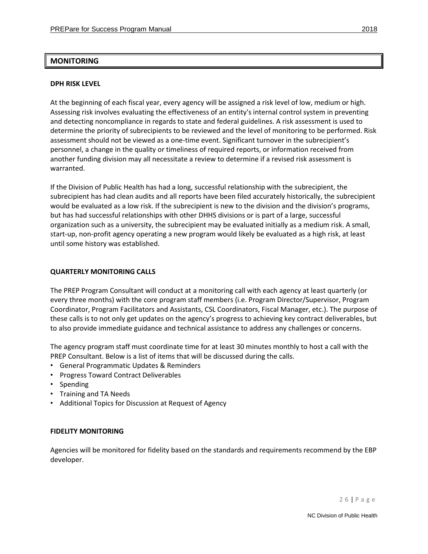## <span id="page-25-0"></span>**MONITORING**

#### <span id="page-25-1"></span>**DPH RISK LEVEL**

At the beginning of each fiscal year, every agency will be assigned a risk level of low, medium or high. Assessing risk involves evaluating the effectiveness of an entity's internal control system in preventing and detecting noncompliance in regards to state and federal guidelines. A risk assessment is used to determine the priority of subrecipients to be reviewed and the level of monitoring to be performed. Risk assessment should not be viewed as a one-time event. Significant turnover in the subrecipient's personnel, a change in the quality or timeliness of required reports, or information received from another funding division may all necessitate a review to determine if a revised risk assessment is warranted.

If the Division of Public Health has had a long, successful relationship with the subrecipient, the subrecipient has had clean audits and all reports have been filed accurately historically, the subrecipient would be evaluated as a low risk. If the subrecipient is new to the division and the division's programs, but has had successful relationships with other DHHS divisions or is part of a large, successful organization such as a university, the subrecipient may be evaluated initially as a medium risk. A small, start-up, non-profit agency operating a new program would likely be evaluated as a high risk, at least until some history was established.

#### <span id="page-25-2"></span>**QUARTERLY MONITORING CALLS**

The PREP Program Consultant will conduct at a monitoring call with each agency at least quarterly (or every three months) with the core program staff members (i.e. Program Director/Supervisor, Program Coordinator, Program Facilitators and Assistants, CSL Coordinators, Fiscal Manager, etc.). The purpose of these calls is to not only get updates on the agency's progress to achieving key contract deliverables, but to also provide immediate guidance and technical assistance to address any challenges or concerns.

The agency program staff must coordinate time for at least 30 minutes monthly to host a call with the PREP Consultant. Below is a list of items that will be discussed during the calls.

- General Programmatic Updates & Reminders
- Progress Toward Contract Deliverables
- Spending
- Training and TA Needs
- Additional Topics for Discussion at Request of Agency

#### <span id="page-25-3"></span>**FIDELITY MONITORING**

Agencies will be monitored for fidelity based on the standards and requirements recommend by the EBP developer.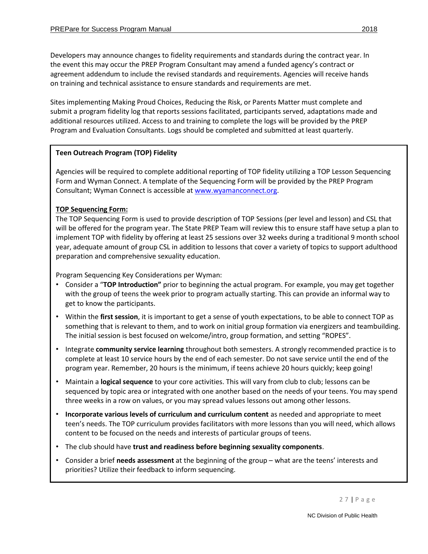Developers may announce changes to fidelity requirements and standards during the contract year. In the event this may occur the PREP Program Consultant may amend a funded agency's contract or agreement addendum to include the revised standards and requirements. Agencies will receive hands on training and technical assistance to ensure standards and requirements are met.

Sites implementing Making Proud Choices, Reducing the Risk, or Parents Matter must complete and submit a program fidelity log that reports sessions facilitated, participants served, adaptations made and additional resources utilized. Access to and training to complete the logs will be provided by the PREP Program and Evaluation Consultants. Logs should be completed and submitted at least quarterly.

# **Teen Outreach Program (TOP) Fidelity**

Agencies will be required to complete additional reporting of TOP fidelity utilizing a TOP Lesson Sequencing Form and Wyman Connect. A template of the Sequencing Form will be provided by the PREP Program Consultant; Wyman Connect is accessible a[t www.wyamanconnect.org.](http://www.wyamanconnect.org/)

# **TOP Sequencing Form:**

The TOP Sequencing Form is used to provide description of TOP Sessions (per level and lesson) and CSL that will be offered for the program year. The State PREP Team will review this to ensure staff have setup a plan to implement TOP with fidelity by offering at least 25 sessions over 32 weeks during a traditional 9 month school year, adequate amount of group CSL in addition to lessons that cover a variety of topics to support adulthood preparation and comprehensive sexuality education.

Program Sequencing Key Considerations per Wyman:

- Consider a "**TOP Introduction"** prior to beginning the actual program. For example, you may get together with the group of teens the week prior to program actually starting. This can provide an informal way to get to know the participants.
- Within the **first session**, it is important to get a sense of youth expectations, to be able to connect TOP as something that is relevant to them, and to work on initial group formation via energizers and teambuilding. The initial session is best focused on welcome/intro, group formation, and setting "ROPES".
- Integrate **community service learning** throughout both semesters. A strongly recommended practice is to complete at least 10 service hours by the end of each semester. Do not save service until the end of the program year. Remember, 20 hours is the minimum, if teens achieve 20 hours quickly; keep going!
- Maintain a **logical sequence** to your core activities. This will vary from club to club; lessons can be sequenced by topic area or integrated with one another based on the needs of your teens. You may spend three weeks in a row on values, or you may spread values lessons out among other lessons.
- **Incorporate various levels of curriculum and curriculum content** as needed and appropriate to meet teen's needs. The TOP curriculum provides facilitators with more lessons than you will need, which allows content to be focused on the needs and interests of particular groups of teens.
- The club should have **trust and readiness before beginning sexuality components**.
- Consider a brief **needs assessment** at the beginning of the group what are the teens' interests and priorities? Utilize their feedback to inform sequencing.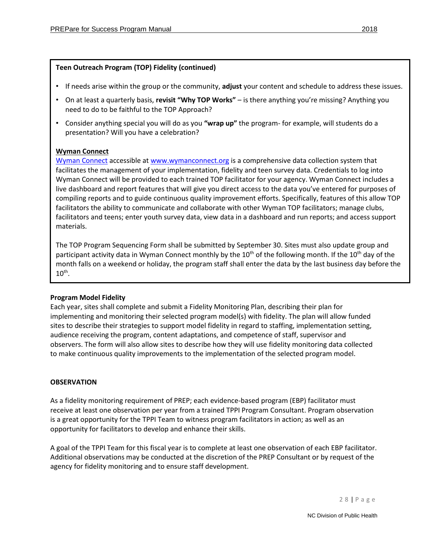# **Teen Outreach Program (TOP) Fidelity (continued)**

- If needs arise within the group or the community, **adjust** your content and schedule to address these issues.
- On at least a quarterly basis, **revisit "Why TOP Works"**  is there anything you're missing? Anything you need to do to be faithful to the TOP Approach?
- Consider anything special you will do as you **"wrap up"** the program- for example, will students do a presentation? Will you have a celebration?

# **Wyman Connect**

[Wyman Connect](http://www.wymanconnect.org/) accessible at [www.wymanconnect.org](http://www.wymanconnect.org/) is a comprehensive data collection system that facilitates the management of your implementation, fidelity and teen survey data. Credentials to log into Wyman Connect will be provided to each trained TOP facilitator for your agency. Wyman Connect includes a live dashboard and report features that will give you direct access to the data you've entered for purposes of compiling reports and to guide continuous quality improvement efforts. Specifically, features of this allow TOP facilitators the ability to communicate and collaborate with other Wyman TOP facilitators; manage clubs, facilitators and teens; enter youth survey data, view data in a dashboard and run reports; and access support materials.

The TOP Program Sequencing Form shall be submitted by September 30. Sites must also update group and participant activity data in Wyman Connect monthly by the  $10^{th}$  of the following month. If the  $10^{th}$  day of the month falls on a weekend or holiday, the program staff shall enter the data by the last business day before the  $10^{\text{th}}$ .

# **Program Model Fidelity**

Each year, sites shall complete and submit a Fidelity Monitoring Plan, describing their plan for implementing and monitoring their selected program model(s) with fidelity. The plan will allow funded sites to describe their strategies to support model fidelity in regard to staffing, implementation setting, audience receiving the program, content adaptations, and competence of staff, supervisor and observers. The form will also allow sites to describe how they will use fidelity monitoring data collected to make continuous quality improvements to the implementation of the selected program model.

# **OBSERVATION**

As a fidelity monitoring requirement of PREP; each evidence-based program (EBP) facilitator must receive at least one observation per year from a trained TPPI Program Consultant. Program observation is a great opportunity for the TPPI Team to witness program facilitators in action; as well as an opportunity for facilitators to develop and enhance their skills.

A goal of the TPPI Team for this fiscal year is to complete at least one observation of each EBP facilitator. Additional observations may be conducted at the discretion of the PREP Consultant or by request of the agency for fidelity monitoring and to ensure staff development.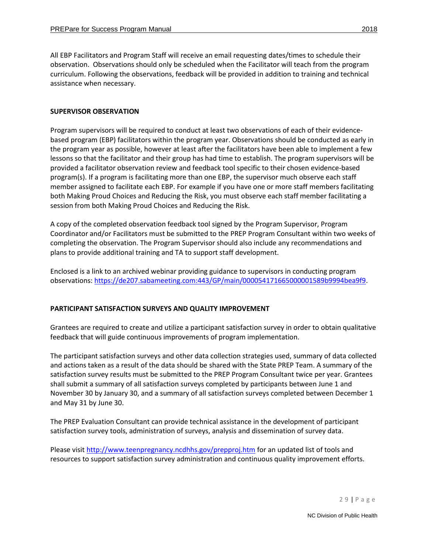All EBP Facilitators and Program Staff will receive an email requesting dates/times to schedule their observation. Observations should only be scheduled when the Facilitator will teach from the program curriculum. Following the observations, feedback will be provided in addition to training and technical assistance when necessary.

#### **SUPERVISOR OBSERVATION**

Program supervisors will be required to conduct at least two observations of each of their evidencebased program (EBP) facilitators within the program year. Observations should be conducted as early in the program year as possible, however at least after the facilitators have been able to implement a few lessons so that the facilitator and their group has had time to establish. The program supervisors will be provided a facilitator observation review and feedback tool specific to their chosen evidence-based program(s). If a program is facilitating more than one EBP, the supervisor much observe each staff member assigned to facilitate each EBP. For example if you have one or more staff members facilitating both Making Proud Choices and Reducing the Risk, you must observe each staff member facilitating a session from both Making Proud Choices and Reducing the Risk.

A copy of the completed observation feedback tool signed by the Program Supervisor, Program Coordinator and/or Facilitators must be submitted to the PREP Program Consultant within two weeks of completing the observation. The Program Supervisor should also include any recommendations and plans to provide additional training and TA to support staff development.

Enclosed is a link to an archived webinar providing guidance to supervisors in conducting program observations: [https://de207.sabameeting.com:443/GP/main/000054171665000001589b9994bea9f9.](https://de207.sabameeting.com/GP/main/000054171665000001589b9994bea9f9)

## **PARTICIPANT SATISFACTION SURVEYS AND QUALITY IMPROVEMENT**

Grantees are required to create and utilize a participant satisfaction survey in order to obtain qualitative feedback that will guide continuous improvements of program implementation.

The participant satisfaction surveys and other data collection strategies used, summary of data collected and actions taken as a result of the data should be shared with the State PREP Team. A summary of the satisfaction survey results must be submitted to the PREP Program Consultant twice per year. Grantees shall submit a summary of all satisfaction surveys completed by participants between June 1 and November 30 by January 30, and a summary of all satisfaction surveys completed between December 1 and May 31 by June 30.

The PREP Evaluation Consultant can provide technical assistance in the development of participant satisfaction survey tools, administration of surveys, analysis and dissemination of survey data.

Please visi[t http://www.teenpregnancy.ncdhhs.gov/prepproj.htm](http://www.teenpregnancy.ncdhhs.gov/prepproj.htm) for an updated list of tools and resources to support satisfaction survey administration and continuous quality improvement efforts.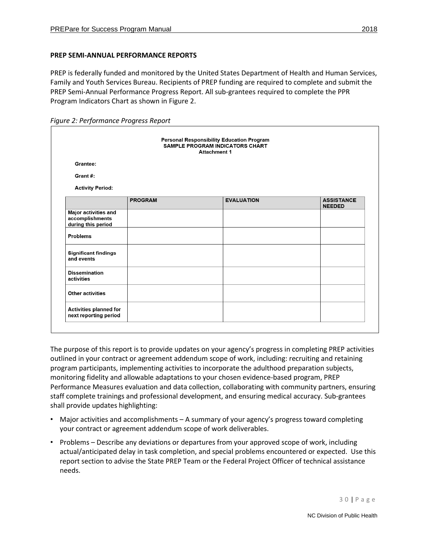## **PREP SEMI-ANNUAL PERFORMANCE REPORTS**

PREP is federally funded and monitored by the United States Department of Health and Human Services, Family and Youth Services Bureau. Recipients of PREP funding are required to complete and submit the PREP Semi-Annual Performance Progress Report. All sub-grantees required to complete the PPR Program Indicators Chart as shown in Figure 2.

*Figure 2: Performance Progress Report*

|                                                               |                | <b>Personal Responsibility Education Program</b><br>SAMPLE PROGRAM INDICATORS CHART<br><b>Attachment 1</b> |                                    |
|---------------------------------------------------------------|----------------|------------------------------------------------------------------------------------------------------------|------------------------------------|
| Grantee:                                                      |                |                                                                                                            |                                    |
| Grant#:                                                       |                |                                                                                                            |                                    |
| <b>Activity Period:</b>                                       |                |                                                                                                            |                                    |
|                                                               | <b>PROGRAM</b> | <b>EVALUATION</b>                                                                                          | <b>ASSISTANCE</b><br><b>NEEDED</b> |
| Major activities and<br>accomplishments<br>during this period |                |                                                                                                            |                                    |
| <b>Problems</b>                                               |                |                                                                                                            |                                    |
| <b>Significant findings</b><br>and events                     |                |                                                                                                            |                                    |
| <b>Dissemination</b><br>activities                            |                |                                                                                                            |                                    |
| <b>Other activities</b>                                       |                |                                                                                                            |                                    |
| Activities planned for<br>next reporting period               |                |                                                                                                            |                                    |

The purpose of this report is to provide updates on your agency's progress in completing PREP activities outlined in your contract or agreement addendum scope of work, including: recruiting and retaining program participants, implementing activities to incorporate the adulthood preparation subjects, monitoring fidelity and allowable adaptations to your chosen evidence-based program, PREP Performance Measures evaluation and data collection, collaborating with community partners, ensuring staff complete trainings and professional development, and ensuring medical accuracy. Sub-grantees shall provide updates highlighting:

- Major activities and accomplishments A summary of your agency's progress toward completing your contract or agreement addendum scope of work deliverables.
- Problems Describe any deviations or departures from your approved scope of work, including actual/anticipated delay in task completion, and special problems encountered or expected. Use this report section to advise the State PREP Team or the Federal Project Officer of technical assistance needs.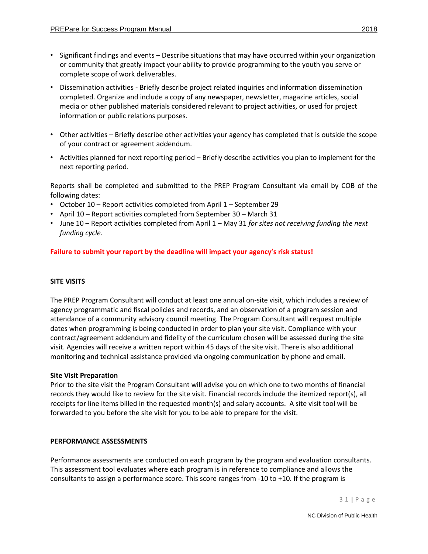- Significant findings and events Describe situations that may have occurred within your organization or community that greatly impact your ability to provide programming to the youth you serve or complete scope of work deliverables.
- Dissemination activities Briefly describe project related inquiries and information dissemination completed. Organize and include a copy of any newspaper, newsletter, magazine articles, social media or other published materials considered relevant to project activities, or used for project information or public relations purposes.
- Other activities Briefly describe other activities your agency has completed that is outside the scope of your contract or agreement addendum.
- Activities planned for next reporting period Briefly describe activities you plan to implement for the next reporting period.

Reports shall be completed and submitted to the PREP Program Consultant via email by COB of the following dates:

- October 10 Report activities completed from April 1 September 29
- April 10 Report activities completed from September 30 March 31
- June 10 Report activities completed from April 1 May 31 *for sites not receiving funding the next funding cycle.*

**Failure to submit your report by the deadline will impact your agency's risk status!**

## <span id="page-30-0"></span>**SITE VISITS**

The PREP Program Consultant will conduct at least one annual on-site visit, which includes a review of agency programmatic and fiscal policies and records, and an observation of a program session and attendance of a community advisory council meeting. The Program Consultant will request multiple dates when programming is being conducted in order to plan your site visit. Compliance with your contract/agreement addendum and fidelity of the curriculum chosen will be assessed during the site visit. Agencies will receive a written report within 45 days of the site visit. There is also additional monitoring and technical assistance provided via ongoing communication by phone and email.

## **Site Visit Preparation**

Prior to the site visit the Program Consultant will advise you on which one to two months of financial records they would like to review for the site visit. Financial records include the itemized report(s), all receipts for line items billed in the requested month(s) and salary accounts. A site visit tool will be forwarded to you before the site visit for you to be able to prepare for the visit.

## <span id="page-30-1"></span>**PERFORMANCE ASSESSMENTS**

Performance assessments are conducted on each program by the program and evaluation consultants. This assessment tool evaluates where each program is in reference to compliance and allows the consultants to assign a performance score. This score ranges from -10 to +10. If the program is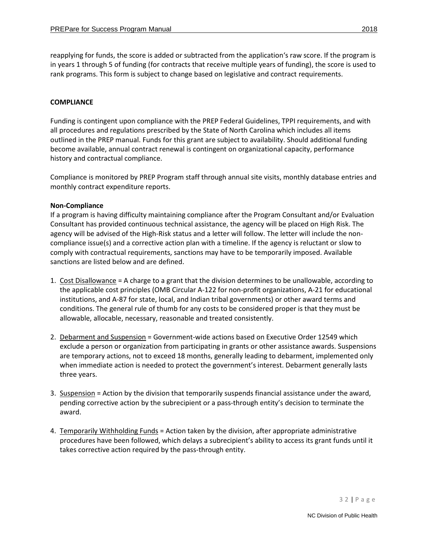reapplying for funds, the score is added or subtracted from the application's raw score. If the program is in years 1 through 5 of funding (for contracts that receive multiple years of funding), the score is used to rank programs. This form is subject to change based on legislative and contract requirements.

#### <span id="page-31-0"></span>**COMPLIANCE**

Funding is contingent upon compliance with the PREP Federal Guidelines, TPPI requirements, and with all procedures and regulations prescribed by the State of North Carolina which includes all items outlined in the PREP manual. Funds for this grant are subject to availability. Should additional funding become available, annual contract renewal is contingent on organizational capacity, performance history and contractual compliance.

Compliance is monitored by PREP Program staff through annual site visits, monthly database entries and monthly contract expenditure reports.

#### **Non-Compliance**

If a program is having difficulty maintaining compliance after the Program Consultant and/or Evaluation Consultant has provided continuous technical assistance, the agency will be placed on High Risk. The agency will be advised of the High-Risk status and a letter will follow. The letter will include the noncompliance issue(s) and a corrective action plan with a timeline. If the agency is reluctant or slow to comply with contractual requirements, sanctions may have to be temporarily imposed. Available sanctions are listed below and are defined.

- 1. Cost Disallowance = A charge to a grant that the division determines to be unallowable, according to the applicable cost principles (OMB Circular A-122 for non-profit organizations, A-21 for educational institutions, and A-87 for state, local, and Indian tribal governments) or other award terms and conditions. The general rule of thumb for any costs to be considered proper is that they must be allowable, allocable, necessary, reasonable and treated consistently.
- 2. Debarment and Suspension = Government-wide actions based on Executive Order 12549 which exclude a person or organization from participating in grants or other assistance awards. Suspensions are temporary actions, not to exceed 18 months, generally leading to debarment, implemented only when immediate action is needed to protect the government's interest. Debarment generally lasts three years.
- 3. Suspension = Action by the division that temporarily suspends financial assistance under the award, pending corrective action by the subrecipient or a pass-through entity's decision to terminate the award.
- 4. Temporarily Withholding Funds = Action taken by the division, after appropriate administrative procedures have been followed, which delays a subrecipient's ability to access its grant funds until it takes corrective action required by the pass-through entity.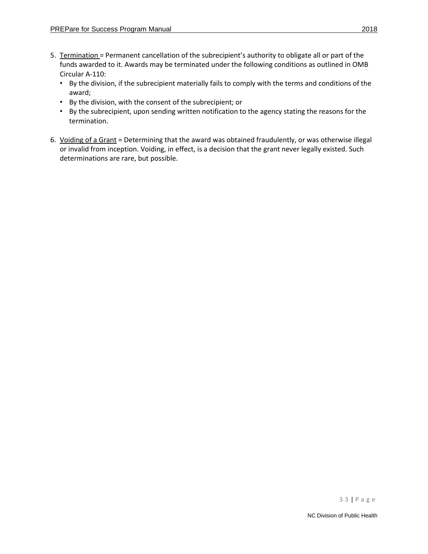- 5. Termination *=* Permanent cancellation of the subrecipient's authority to obligate all or part of the funds awarded to it. Awards may be terminated under the following conditions as outlined in OMB Circular A-110:
	- By the division, if the subrecipient materially fails to comply with the terms and conditions of the award;
	- By the division, with the consent of the subrecipient; or
	- By the subrecipient, upon sending written notification to the agency stating the reasons for the termination.
- 6. Voiding of a Grant = Determining that the award was obtained fraudulently, or was otherwise illegal or invalid from inception. Voiding, in effect, is a decision that the grant never legally existed. Such determinations are rare, but possible.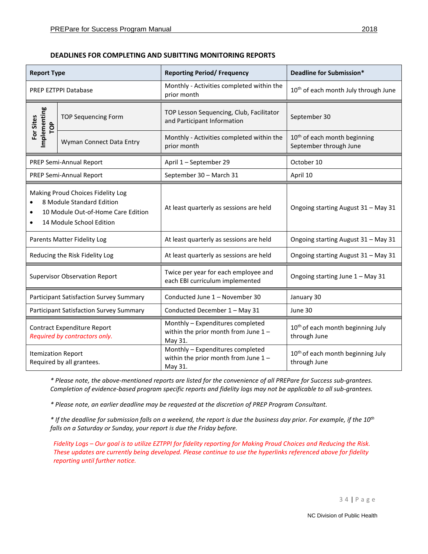| <b>DEADLINES FOR COMPLETING AND SUBITTING MONITORING REPORTS</b> |  |  |  |  |  |
|------------------------------------------------------------------|--|--|--|--|--|
|------------------------------------------------------------------|--|--|--|--|--|

| <b>Report Type</b>                      |                                                                                                                                  | <b>Reporting Period/ Frequency</b>                                                    | Deadline for Submission*                                           |  |
|-----------------------------------------|----------------------------------------------------------------------------------------------------------------------------------|---------------------------------------------------------------------------------------|--------------------------------------------------------------------|--|
|                                         | <b>PREP EZTPPI Database</b>                                                                                                      | Monthly - Activities completed within the<br>prior month                              | 10 <sup>th</sup> of each month July through June                   |  |
| Implementing<br>For Sites<br>POP        | <b>TOP Sequencing Form</b>                                                                                                       | TOP Lesson Sequencing, Club, Facilitator<br>and Participant Information               | September 30                                                       |  |
|                                         | Wyman Connect Data Entry                                                                                                         | Monthly - Activities completed within the<br>prior month                              | 10 <sup>th</sup> of each month beginning<br>September through June |  |
|                                         | PREP Semi-Annual Report                                                                                                          | April 1 - September 29                                                                | October 10                                                         |  |
|                                         | PREP Semi-Annual Report                                                                                                          | September 30 - March 31                                                               | April 10                                                           |  |
|                                         | Making Proud Choices Fidelity Log<br>8 Module Standard Edition<br>10 Module Out-of-Home Care Edition<br>14 Module School Edition | At least quarterly as sessions are held                                               | Ongoing starting August 31 - May 31                                |  |
| Parents Matter Fidelity Log             |                                                                                                                                  | At least quarterly as sessions are held                                               | Ongoing starting August 31 - May 31                                |  |
| Reducing the Risk Fidelity Log          |                                                                                                                                  | At least quarterly as sessions are held                                               | Ongoing starting August 31 - May 31                                |  |
|                                         | <b>Supervisor Observation Report</b>                                                                                             | Twice per year for each employee and<br>each EBI curriculum implemented               | Ongoing starting June 1 - May 31                                   |  |
| Participant Satisfaction Survey Summary |                                                                                                                                  | Conducted June 1 - November 30                                                        | January 30                                                         |  |
|                                         | Participant Satisfaction Survey Summary                                                                                          | Conducted December 1 - May 31                                                         | June 30                                                            |  |
|                                         | <b>Contract Expenditure Report</b><br>Required by contractors only.                                                              | Monthly - Expenditures completed<br>within the prior month from June $1 -$<br>May 31. | 10 <sup>th</sup> of each month beginning July<br>through June      |  |
| <b>Itemization Report</b>               | Required by all grantees.                                                                                                        | Monthly - Expenditures completed<br>within the prior month from June $1 -$<br>May 31. | 10 <sup>th</sup> of each month beginning July<br>through June      |  |

*\* Please note, the above-mentioned reports are listed for the convenience of all PREPare for Success sub-grantees. Completion of evidence-based program specific reports and fidelity logs may not be applicable to all sub-grantees.* 

*\* Please note, an earlier deadline may be requested at the discretion of PREP Program Consultant.*

*\* If the deadline for submission falls on a weekend, the report is due the business day prior. For example, if the 10th falls on a Saturday or Sunday, your report is due the Friday before.* 

*Fidelity Logs – Our goal is to utilize EZTPPI for fidelity reporting for Making Proud Choices and Reducing the Risk. These updates are currently being developed. Please continue to use the hyperlinks referenced above for fidelity reporting until further notice.*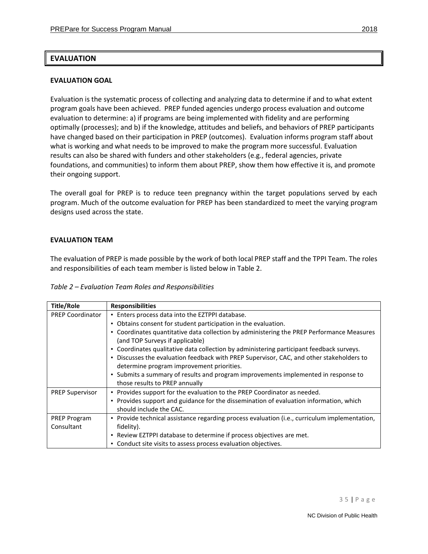# <span id="page-34-0"></span>**EVALUATION**

#### <span id="page-34-1"></span>**EVALUATION GOAL**

Evaluation is the systematic process of collecting and analyzing data to determine if and to what extent program goals have been achieved. PREP funded agencies undergo process evaluation and outcome evaluation to determine: a) if programs are being implemented with fidelity and are performing optimally (processes); and b) if the knowledge, attitudes and beliefs, and behaviors of PREP participants have changed based on their participation in PREP (outcomes). Evaluation informs program staff about what is working and what needs to be improved to make the program more successful. Evaluation results can also be shared with funders and other stakeholders (e.g., federal agencies, private foundations, and communities) to inform them about PREP, show them how effective it is, and promote their ongoing support.

The overall goal for PREP is to reduce teen pregnancy within the target populations served by each program. Much of the outcome evaluation for PREP has been standardized to meet the varying program designs used across the state.

#### <span id="page-34-2"></span>**EVALUATION TEAM**

The evaluation of PREP is made possible by the work of both local PREP staff and the TPPI Team. The roles and responsibilities of each team member is listed below in Table 2.

|  | Table 2 - Evaluation Team Roles and Responsibilities |
|--|------------------------------------------------------|
|--|------------------------------------------------------|

| <b>Title/Role</b>       | <b>Responsibilities</b>                                                                       |
|-------------------------|-----------------------------------------------------------------------------------------------|
| <b>PREP Coordinator</b> | • Enters process data into the EZTPPI database.                                               |
|                         | • Obtains consent for student participation in the evaluation.                                |
|                         | • Coordinates quantitative data collection by administering the PREP Performance Measures     |
|                         | (and TOP Surveys if applicable)                                                               |
|                         | • Coordinates qualitative data collection by administering participant feedback surveys.      |
|                         | • Discusses the evaluation feedback with PREP Supervisor, CAC, and other stakeholders to      |
|                         | determine program improvement priorities.                                                     |
|                         | • Submits a summary of results and program improvements implemented in response to            |
|                         | those results to PREP annually                                                                |
| <b>PREP Supervisor</b>  | • Provides support for the evaluation to the PREP Coordinator as needed.                      |
|                         | • Provides support and guidance for the dissemination of evaluation information, which        |
|                         | should include the CAC.                                                                       |
| PREP Program            | • Provide technical assistance regarding process evaluation (i.e., curriculum implementation, |
| Consultant              | fidelity).                                                                                    |
|                         | • Review EZTPPI database to determine if process objectives are met.                          |
|                         | • Conduct site visits to assess process evaluation objectives.                                |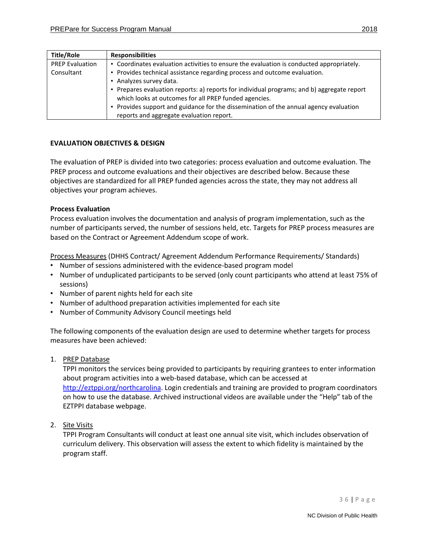| <b>Title/Role</b>      | <b>Responsibilities</b>                                                                    |  |  |  |
|------------------------|--------------------------------------------------------------------------------------------|--|--|--|
| <b>PREP Evaluation</b> | • Coordinates evaluation activities to ensure the evaluation is conducted appropriately.   |  |  |  |
| Consultant             | • Provides technical assistance regarding process and outcome evaluation.                  |  |  |  |
|                        | Analyzes survey data.                                                                      |  |  |  |
|                        | • Prepares evaluation reports: a) reports for individual programs; and b) aggregate report |  |  |  |
|                        | which looks at outcomes for all PREP funded agencies.                                      |  |  |  |
|                        | • Provides support and guidance for the dissemination of the annual agency evaluation      |  |  |  |
|                        | reports and aggregate evaluation report.                                                   |  |  |  |

#### <span id="page-35-0"></span>**EVALUATION OBJECTIVES & DESIGN**

The evaluation of PREP is divided into two categories: process evaluation and outcome evaluation. The PREP process and outcome evaluations and their objectives are described below. Because these objectives are standardized for all PREP funded agencies across the state, they may not address all objectives your program achieves.

#### **Process Evaluation**

Process evaluation involves the documentation and analysis of program implementation, such as the number of participants served, the number of sessions held, etc. Targets for PREP process measures are based on the Contract or Agreement Addendum scope of work.

Process Measures (DHHS Contract/ Agreement Addendum Performance Requirements/ Standards)

- Number of sessions administered with the evidence-based program model
- Number of unduplicated participants to be served (only count participants who attend at least 75% of sessions)
- Number of parent nights held for each site
- Number of adulthood preparation activities implemented for each site
- Number of Community Advisory Council meetings held

The following components of the evaluation design are used to determine whether targets for process measures have been achieved:

1. PREP Database

TPPI monitors the services being provided to participants by requiring grantees to enter information about program activities into a web-based database, which can be accessed at [http://eztppi.org/northcarolina.](http://eztppi.org/northcarolina) Login credentials and training are provided to program coordinators on how to use the database. Archived instructional videos are available under the "Help" tab of the EZTPPI database webpage.

2. Site Visits

TPPI Program Consultants will conduct at least one annual site visit, which includes observation of curriculum delivery. This observation will assess the extent to which fidelity is maintained by the program staff.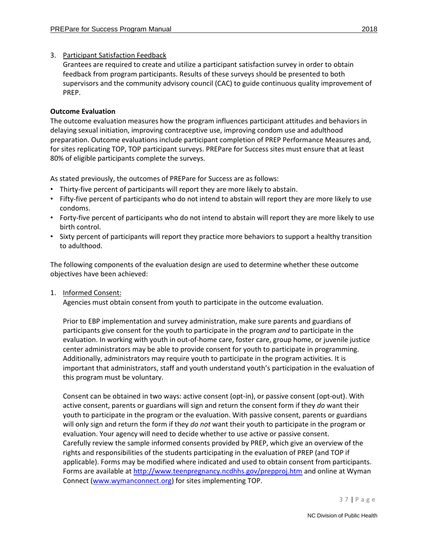# 3. Participant Satisfaction Feedback

Grantees are required to create and utilize a participant satisfaction survey in order to obtain feedback from program participants. Results of these surveys should be presented to both supervisors and the community advisory council (CAC) to guide continuous quality improvement of PREP.

## **Outcome Evaluation**

The outcome evaluation measures how the program influences participant attitudes and behaviors in delaying sexual initiation, improving contraceptive use, improving condom use and adulthood preparation. Outcome evaluations include participant completion of PREP Performance Measures and, for sites replicating TOP, TOP participant surveys. PREPare for Success sites must ensure that at least 80% of eligible participants complete the surveys.

As stated previously, the outcomes of PREPare for Success are as follows:

- Thirty-five percent of participants will report they are more likely to abstain.
- Fifty-five percent of participants who do not intend to abstain will report they are more likely to use condoms.
- Forty-five percent of participants who do not intend to abstain will report they are more likely to use birth control.
- Sixty percent of participants will report they practice more behaviors to support a healthy transition to adulthood.

The following components of the evaluation design are used to determine whether these outcome objectives have been achieved:

1. Informed Consent:

Agencies must obtain consent from youth to participate in the outcome evaluation.

Prior to EBP implementation and survey administration, make sure parents and guardians of participants give consent for the youth to participate in the program *and* to participate in the evaluation. In working with youth in out-of-home care, foster care, group home, or juvenile justice center administrators may be able to provide consent for youth to participate in programming. Additionally, administrators may require youth to participate in the program activities. It is important that administrators, staff and youth understand youth's participation in the evaluation of this program must be voluntary.

Consent can be obtained in two ways: active consent (opt-in), or passive consent (opt-out). With active consent, parents or guardians will sign and return the consent form if they *do* want their youth to participate in the program or the evaluation. With passive consent, parents or guardians will only sign and return the form if they *do not* want their youth to participate in the program or evaluation. Your agency will need to decide whether to use active or passive consent. Carefully review the sample informed consents provided by PREP, which give an overview of the rights and responsibilities of the students participating in the evaluation of PREP (and TOP if applicable). Forms may be modified where indicated and used to obtain consent from participants. Forms are available at<http://www.teenpregnancy.ncdhhs.gov/prepproj.htm> and online at Wyman Connect [\(www.wymanconnect.org\)](http://www.wymanconnect.org/) for sites implementing TOP.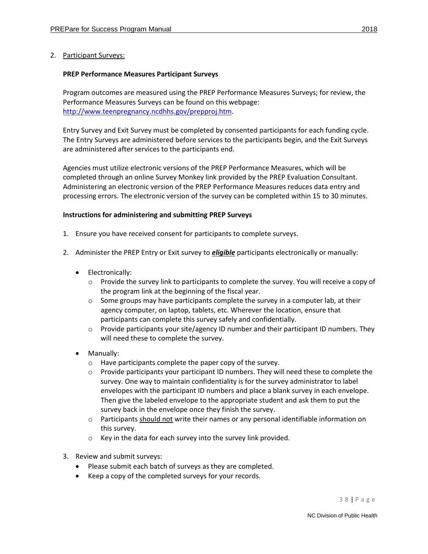## 2. Participant Surveys:

#### **PREP Performance Measures Participant Surveys**

Program outcomes are measured using the PREP Performance Measures Surveys; for review, the Performance Measures Surveys can be found on this webpage: [http://www.teenpregnancy.ncdhhs.gov/prepproj.htm.](http://www.teenpregnancy.ncdhhs.gov/prepproj.htm)

Entry Survey and Exit Survey must be completed by consented participants for each funding cycle. The Entry Surveys are administered before services to the participants begin, and the Exit Surveys are administered after services to the participants end.

Agencies must utilize electronic versions of the PREP Performance Measures, which will be completed through an online Survey Monkey link provided by the PREP Evaluation Consultant. Administering an electronic version of the PREP Performance Measures reduces data entry and processing errors. The electronic version of the survey can be completed within 15 to 30 minutes.

#### **Instructions for administering and submitting PREP Surveys**

- 1. Ensure you have received consent for participants to complete surveys.
- 2. Administer the PREP Entry or Exit survey to *eligible* participants electronically or manually:
	- Electronically:
		- $\circ$  Provide the survey link to participants to complete the survey. You will receive a copy of the program link at the beginning of the fiscal year.
		- $\circ$  Some groups may have participants complete the survey in a computer lab, at their agency computer, on laptop, tablets, etc. Wherever the location, ensure that participants can complete this survey safely and confidentially.
		- o Provide participants your site/agency ID number and their participant ID numbers. They will need these to complete the survey.
	- Manually:
		- o Have participants complete the paper copy of the survey.
		- o Provide participants your participant ID numbers. They will need these to complete the survey. One way to maintain confidentiality is for the survey administrator to label envelopes with the participant ID numbers and place a blank survey in each envelope. Then give the labeled envelope to the appropriate student and ask them to put the survey back in the envelope once they finish the survey.
		- $\circ$  Participants should not write their names or any personal identifiable information on this survey.
		- o Key in the data for each survey into the survey link provided.
- 3. Review and submit surveys:
	- Please submit each batch of surveys as they are completed.
	- Keep a copy of the completed surveys for your records.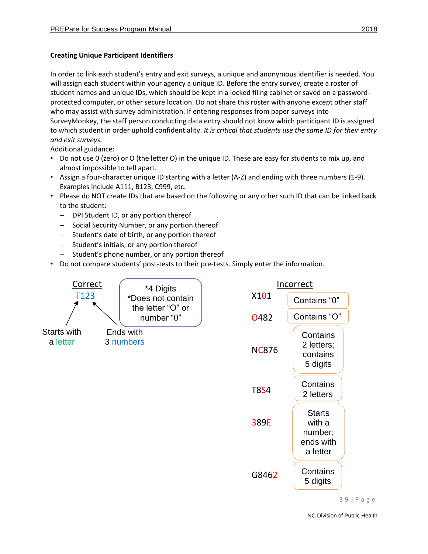# **Creating Unique Participant Identifiers**

In order to link each student's entry and exit surveys, a unique and anonymous identifier is needed. You will assign each student within your agency a unique ID. Before the entry survey, create a roster of student names and unique IDs, which should be kept in a locked filing cabinet or saved on a passwordprotected computer, or other secure location. Do not share this roster with anyone except other staff who may assist with survey administration. If entering responses from paper surveys into SurveyMonkey, the staff person conducting data entry should not know which participant ID is assigned to which student in order uphold confidentiality. *It is critical that students use the same ID for their entry and exit surveys.* 

Additional guidance:

- Do not use 0 (zero) or O (the letter O) in the unique ID. These are easy for students to mix up, and almost impossible to tell apart.
- Assign a four-character unique ID starting with a letter (A-Z) and ending with three numbers (1-9). Examples include A111, B123, C999, etc.
- Please do NOT create IDs that are based on the following or any other such ID that can be linked back to the student:
	- − DPI Student ID, or any portion thereof
	- − Social Security Number, or any portion thereof
	- − Student's date of birth, or any portion thereof
	- − Student's initials, or any portion thereof
	- Student's phone number, or any portion thereof
- Do not compare students' post-tests to their pre-tests. Simply enter the information.

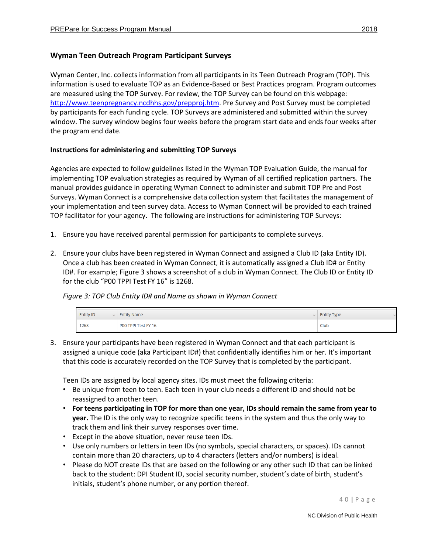Wyman Center, Inc. collects information from all participants in its Teen Outreach Program (TOP). This information is used to evaluate TOP as an Evidence-Based or Best Practices program. Program outcomes are measured using the TOP Survey. For review, the TOP Survey can be found on this webpage: [http://www.teenpregnancy.ncdhhs.gov/prepproj.htm.](http://www.teenpregnancy.ncdhhs.gov/prepproj.htm) Pre Survey and Post Survey must be completed by participants for each funding cycle. TOP Surveys are administered and submitted within the survey window. The survey window begins four weeks before the program start date and ends four weeks after the program end date.

## **Instructions for administering and submitting TOP Surveys**

Agencies are expected to follow guidelines listed in the Wyman TOP Evaluation Guide, the manual for implementing TOP evaluation strategies as required by Wyman of all certified replication partners. The manual provides guidance in operating Wyman Connect to administer and submit TOP Pre and Post Surveys. Wyman Connect is a comprehensive data collection system that facilitates the management of your implementation and teen survey data. Access to Wyman Connect will be provided to each trained TOP facilitator for your agency. The following are instructions for administering TOP Surveys:

- 1. Ensure you have received parental permission for participants to complete surveys.
- 2. Ensure your clubs have been registered in Wyman Connect and assigned a Club ID (aka Entity ID). Once a club has been created in Wyman Connect, it is automatically assigned a Club ID# or Entity ID#. For example; Figure 3 shows a screenshot of a club in Wyman Connect. The Club ID or Entity ID for the club "P00 TPPI Test FY 16" is 1268.

*Figure 3: TOP Club Entity ID# and Name as shown in Wyman Connect*

| <b>Entity ID</b><br>$\sim$ | <b>Entity Name</b><br>$\sim$ | <b>Entity Type</b> |
|----------------------------|------------------------------|--------------------|
| 1268                       | P00 TPPI Test FY 16          | Club               |

3. Ensure your participants have been registered in Wyman Connect and that each participant is assigned a unique code (aka Participant ID#) that confidentially identifies him or her. It's important that this code is accurately recorded on the TOP Survey that is completed by the participant.

Teen IDs are assigned by local agency sites. IDs must meet the following criteria:

- Be unique from teen to teen. Each teen in your club needs a different ID and should not be reassigned to another teen.
- **For teens participating in TOP for more than one year, IDs should remain the same from year to year.** The ID is the only way to recognize specific teens in the system and thus the only way to track them and link their survey responses over time.
- Except in the above situation, never reuse teen IDs.
- Use only numbers or letters in teen IDs (no symbols, special characters, or spaces). IDs cannot contain more than 20 characters, up to 4 characters (letters and/or numbers) is ideal.
- Please do NOT create IDs that are based on the following or any other such ID that can be linked back to the student: DPI Student ID, social security number, student's date of birth, student's initials, student's phone number, or any portion thereof.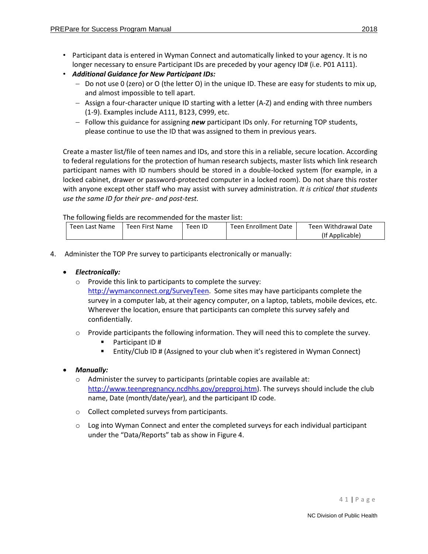- Participant data is entered in Wyman Connect and automatically linked to your agency. It is no longer necessary to ensure Participant IDs are preceded by your agency ID# (i.e. P01 A111).
- *Additional Guidance for New Participant IDs:*
	- − Do not use 0 (zero) or O (the letter O) in the unique ID. These are easy for students to mix up, and almost impossible to tell apart.
	- − Assign a four-character unique ID starting with a letter (A-Z) and ending with three numbers (1-9). Examples include A111, B123, C999, etc.
	- − Follow this guidance for assigning *new* participant IDs only. For returning TOP students, please continue to use the ID that was assigned to them in previous years.

Create a master list/file of teen names and IDs, and store this in a reliable, secure location. According to federal regulations for the protection of human research subjects, master lists which link research participant names with ID numbers should be stored in a double-locked system (for example, in a locked cabinet, drawer or password-protected computer in a locked room). Do not share this roster with anyone except other staff who may assist with survey administration. *It is critical that students use the same ID for their pre- and post-test.* 

The following fields are recommended for the master list:

| Teen Last Name | Teen First Name | Feen ID | Teen Enrollment Date | Teen Withdrawal Date |
|----------------|-----------------|---------|----------------------|----------------------|
|                |                 |         |                      | (If Applicable)      |

4. Administer the TOP Pre survey to participants electronically or manually:

## • *Electronically:*

- o Provide this link to participants to complete the survey: [http://wymanconnect.org/SurveyTeen.](http://wymanconnect.org/SurveyTeen) Some sites may have participants complete the survey in a computer lab, at their agency computer, on a laptop, tablets, mobile devices, etc. Wherever the location, ensure that participants can complete this survey safely and confidentially.
- $\circ$  Provide participants the following information. They will need this to complete the survey.
	- Participant ID #
	- Entity/Club ID # (Assigned to your club when it's registered in Wyman Connect)
- *Manually:* 
	- o Administer the survey to participants (printable copies are available at: [http://www.teenpregnancy.ncdhhs.gov/prepproj.htm\)](http://www.teenpregnancy.ncdhhs.gov/prepproj.htm). The surveys should include the club name, Date (month/date/year), and the participant ID code.
	- o Collect completed surveys from participants.
	- $\circ$  Log into Wyman Connect and enter the completed surveys for each individual participant under the "Data/Reports" tab as show in Figure 4.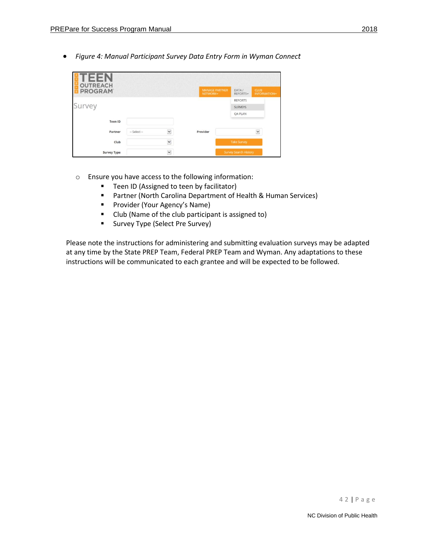• *Figure 4: Manual Participant Survey Data Entry Form in Wyman Connect* 

| <b>OUTREACH</b><br><b>PROGRAM</b> |                |             | <b>MANAGE PARTNER</b><br>NETWORK- | DATA/<br><b>REPORTSV</b> | <b>CLUB</b><br><b>INFORMATION~</b> |
|-----------------------------------|----------------|-------------|-----------------------------------|--------------------------|------------------------------------|
|                                   |                |             |                                   | <b>REPORTS</b>           |                                    |
| Survey                            |                |             |                                   | <b>SURVEYS</b>           |                                    |
|                                   |                |             |                                   | <b>QA PLAN</b>           |                                    |
| Teen ID                           |                |             |                                   |                          |                                    |
| Partner                           | $-$ Select $-$ | $\check{~}$ | Provider                          |                          | $\check{ }$                        |
| Club                              |                | $\check{}$  |                                   | <b>Take Survey</b>       |                                    |
| <b>Survey Type</b>                |                | $\check{ }$ |                                   | Survey Search History    |                                    |

- o Ensure you have access to the following information:
	- Teen ID (Assigned to teen by facilitator)
	- Partner (North Carolina Department of Health & Human Services)
	- Provider (Your Agency's Name)
	- Club (Name of the club participant is assigned to)
	- Survey Type (Select Pre Survey)

Please note the instructions for administering and submitting evaluation surveys may be adapted at any time by the State PREP Team, Federal PREP Team and Wyman. Any adaptations to these instructions will be communicated to each grantee and will be expected to be followed.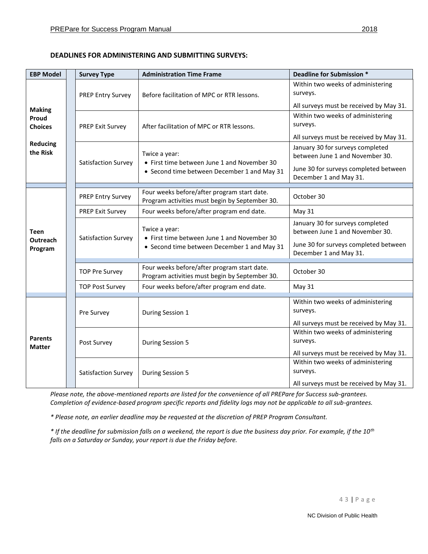## <span id="page-42-0"></span>**DEADLINES FOR ADMINISTERING AND SUBMITTING SURVEYS:**

| <b>EBP Model</b>                                                        |  | <b>Survey Type</b>       | <b>Administration Time Frame</b>                                                                            | <b>Deadline for Submission *</b>                                                                                                       |
|-------------------------------------------------------------------------|--|--------------------------|-------------------------------------------------------------------------------------------------------------|----------------------------------------------------------------------------------------------------------------------------------------|
| <b>Making</b><br>Proud<br><b>Choices</b><br><b>Reducing</b><br>the Risk |  | <b>PREP Entry Survey</b> | Before facilitation of MPC or RTR lessons.                                                                  | Within two weeks of administering<br>surveys.<br>All surveys must be received by May 31.                                               |
|                                                                         |  | <b>PREP Exit Survey</b>  | After facilitation of MPC or RTR lessons.                                                                   | Within two weeks of administering<br>surveys.<br>All surveys must be received by May 31.                                               |
|                                                                         |  | Satisfaction Survey      | Twice a year:<br>• First time between June 1 and November 30<br>• Second time between December 1 and May 31 | January 30 for surveys completed<br>between June 1 and November 30.<br>June 30 for surveys completed between<br>December 1 and May 31. |
| Teen<br>Outreach<br>Program                                             |  | <b>PREP Entry Survey</b> | Four weeks before/after program start date.<br>Program activities must begin by September 30.               | October 30                                                                                                                             |
|                                                                         |  | <b>PREP Exit Survey</b>  | Four weeks before/after program end date.                                                                   | May 31                                                                                                                                 |
|                                                                         |  | Satisfaction Survey      | Twice a year:<br>• First time between June 1 and November 30                                                | January 30 for surveys completed<br>between June 1 and November 30.<br>June 30 for surveys completed between                           |
|                                                                         |  |                          | • Second time between December 1 and May 31                                                                 | December 1 and May 31.                                                                                                                 |
|                                                                         |  | <b>TOP Pre Survey</b>    | Four weeks before/after program start date.<br>Program activities must begin by September 30.               | October 30                                                                                                                             |
|                                                                         |  | <b>TOP Post Survey</b>   | Four weeks before/after program end date.                                                                   | May 31                                                                                                                                 |
| <b>Parents</b><br><b>Matter</b>                                         |  | Pre Survey               | During Session 1                                                                                            | Within two weeks of administering<br>surveys.<br>All surveys must be received by May 31.                                               |
|                                                                         |  | Post Survey              | <b>During Session 5</b>                                                                                     | Within two weeks of administering<br>surveys.                                                                                          |
|                                                                         |  | Satisfaction Survey      | During Session 5                                                                                            | All surveys must be received by May 31.<br>Within two weeks of administering<br>surveys.<br>All surveys must be received by May 31.    |

*Please note, the above-mentioned reports are listed for the convenience of all PREPare for Success sub-grantees. Completion of evidence-based program specific reports and fidelity logs may not be applicable to all sub-grantees.* 

*\* Please note, an earlier deadline may be requested at the discretion of PREP Program Consultant.*

*\* If the deadline for submission falls on a weekend, the report is due the business day prior. For example, if the 10th falls on a Saturday or Sunday, your report is due the Friday before.*